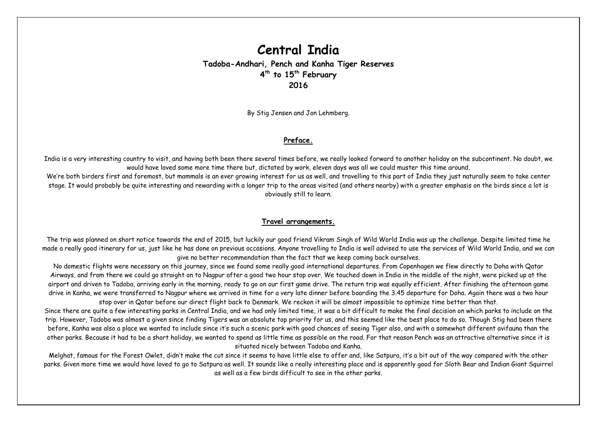# Central India Tadoba-Andhari, Pench and Kanha Tiger Reserves  $4<sup>th</sup>$  to  $15<sup>th</sup>$  February 2016

By Stig Jensen and Jon Lehmberg.

#### Preface.

India is a very interesting country to visit, and having both been there several times before, we really looked forward to another holiday on the subcontinent. No doubt, we would have loved some more time there but, dictated by work, eleven days was all we could muster this time around.

We're both birders first and foremost, but mammals is an ever growing interest for us as well, and travelling to this part of India they just naturally seem to take center stage. It would probably be quite interesting and rewarding with a longer trip to the areas visited (and others nearby) with a greater emphasis on the birds since a lot is obviously still to learn.

#### Travel arrangements.

The trip was planned on short notice towards the end of 2015, but luckily our good friend Vikram Singh of Wild World India was up the challenge. Despite limited time he made a really good itinerary for us, just like he has done on previous occasions. Anyone travelling to India is well advised to use the services of Wild World India, and we can give no better recommendation than the fact that we keep coming back ourselves.

 No domestic flights were necessary on this journey, since we found some really good international departures. From Copenhagen we flew directly to Doha with Qatar Airways, and from there we could go straight on to Nagpur after a good two hour stop over. We touched down in India in the middle of the night, were picked up at the airport and driven to Tadoba, arriving early in the morning, ready to go on our first game drive. The return trip was equally efficient. After finishing the afternoon game drive in Kanha, we were transferred to Nagpur where we arrived in time for a very late dinner before boarding the 3.45 departure for Doha. Again there was a two hour stop over in Qatar before our direct flight back to Denmark. We reckon it will be almost impossible to optimize time better than that.

Since there are quite a few interesting parks in Central India, and we had only limited time, it was a bit difficult to make the final decision on which parks to include on the trip. However, Tadoba was almost a given since finding Tigers was an absolute top priority for us, and this seemed like the best place to do so. Though Stig had been there before, Kanha was also a place we wanted to include since it's such a scenic park with good chances of seeing Tiger also, and with a somewhat different avifauna than the other parks. Because it had to be a short holiday, we wanted to spend as little time as possible on the road. For that reason Pench was an attractive alternative since it is situated nicely between Tadoba and Kanha.

Melghat, famous for the Forest Owlet, didn't make the cut since it seems to have little else to offer and, like Satpura, it's a bit out of the way compared with the other parks. Given more time we would have loved to go to Satpura as well. It sounds like a really interesting place and is apparently good for Sloth Bear and Indian Giant Squirrel as well as a few birds difficult to see in the other parks.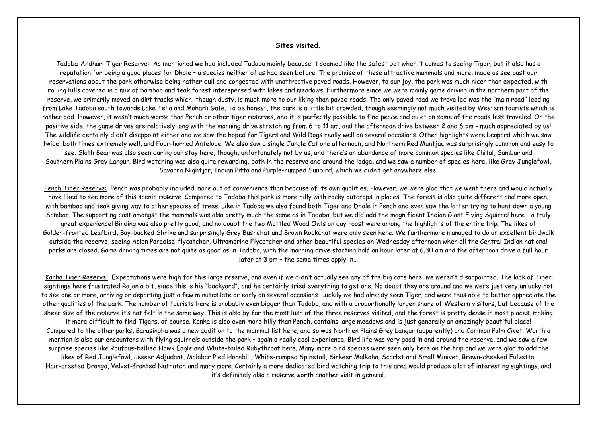#### Sites visited.

Tadoba-Andhari Tiger Reserve: As mentioned we had included Tadoba mainly because it seemed like the safest bet when it comes to seeing Tiger, but it also has a reputation for being a good places for Dhole – a species neither of us had seen before. The promise of these attractive mammals and more, made us see past our reservations about the park otherwise being rather dull and congested with unattractive paved roads. However, to our joy, the park was much nicer than expected, with rolling hills covered in a mix of bamboo and teak forest interspersed with lakes and meadows. Furthermore since we were mainly game driving in the northern part of the reserve, we primarily moved on dirt tracks which, though dusty, is much more to our liking than paved roads. The only paved road we travelled was the "main road" leading from Lake Tadoba south towards Lake Telia and Moharli Gate. To be honest, the park is a little bit crowded, though seemingly not much visited by Western tourists which is rather odd. However, it wasn't much worse than Pench or other tiger reserves, and it is perfectly possible to find peace and quiet on some of the roads less traveled. On the positive side, the game drives are relatively long with the morning drive stretching from 6 to 11 am, and the afternoon drive between 2 and 6 pm - much appreciated by us! The wildlife certainly didn't disappoint either and we saw the hoped for Tigers and Wild Dogs really well on several occasions. Other highlights were Leopard which we saw twice, both times extremely well, and Four-horned Antelope. We also saw a single Jungle Cat one afternoon, and Northern Red Muntjac was surprisingly common and easy to see. Sloth Bear was also seen during our stay here, though, unfortunately not by us, and there's an abundance of more common species like Chital, Sambar and Southern Plains Grey Langur. Bird watching was also quite rewarding, both in the reserve and around the lodge, and we saw a number of species here, like Grey Junglefowl, Savanna Nightjar, Indian Pitta and Purple-rumped Sunbird, which we didn't get anywhere else.

Pench Tiger Reserve: Pench was probably included more out of convenience than because of its own qualities. However, we were glad that we went there and would actually have liked to see more of this scenic reserve. Compared to Tadoba this park is more hilly with rocky outcrops in places. The forest is also quite different and more open, with bamboo and teak giving way to other species of trees. Like in Tadoba we also found both Tiger and Dhole in Pench and even saw the latter trying to hunt down a young Sambar. The supporting cast amongst the mammals was also pretty much the same as in Tadoba, but we did add the magnificent Indian Giant Flying Squirrel here – a truly great experience! Birding was also pretty good, and no doubt the two Mottled Wood Owls on day roost were among the highlights of the entire trip. The likes of Golden-fronted Leafbird, Bay-backed Shrike and surprisingly Grey Bushchat and Brown Rockchat were only seen here. We furthermore managed to do an excellent birdwalk outside the reserve, seeing Asian Paradise-flycatcher, Ultramarine Flycatcher and other beautiful species on Wednesday afternoon when all the Central Indian national parks are closed. Game driving times are not quite as good as in Tadoba, with the morning drive starting half an hour later at 6.30 am and the afternoon drive a full hour later at 3 pm – the same times apply in...

Kanha Tiger Reserve: Expectations were high for this large reserve, and even if we didn't actually see any of the big cats here, we weren't disappointed. The lack of Tiger sightings here frustrated Rajan a bit, since this is his "backyard", and he certainly tried everything to get one. No doubt they are around and we were just very unlucky not to see one or more, arriving or departing just a few minutes late or early on several occasions. Luckily we had already seen Tiger, and were thus able to better appreciate the other qualities of the park. The number of tourists here is probably even bigger than Tadoba, and with a proportionally larger share of Western visitors, but because of the sheer size of the reserve it's not felt in the same way. This is also by far the most lush of the three reserves visited, and the forest is pretty dense in most places, making it more difficult to find Tigers, of course. Kanha is also even more hilly than Pench, contains large meadows and is just generally an amazingly beautiful place! Compared to the other parks, Barasingha was a new addition to the mammal list here, and so was Northen Plains Grey Langur (apparently) and Common Palm Civet. Worth a mention is also our encounters with flying squirrels outside the park – again a really cool experience. Bird life was very good in and around the reserve, and we saw a few surprise species like Roufous-bellied Hawk Eagle and White-tailed Rubythroat here. Many more bird species were seen only here on the trip and we were glad to add the likes of Red Junglefowl, Lesser Adjudant, Malabar Pied Hornbill, White-rumped Spinetail, Sirkeer Malkoha, Scarlet and Small Minivet, Brown-cheeked Fulvetta, Hair-crested Drongo, Velvet-fronted Nuthatch and many more. Certainly a more dedicated bird watching trip to this area would produce a lot of interesting sightings, and it's definitely also a reserve worth another visit in general.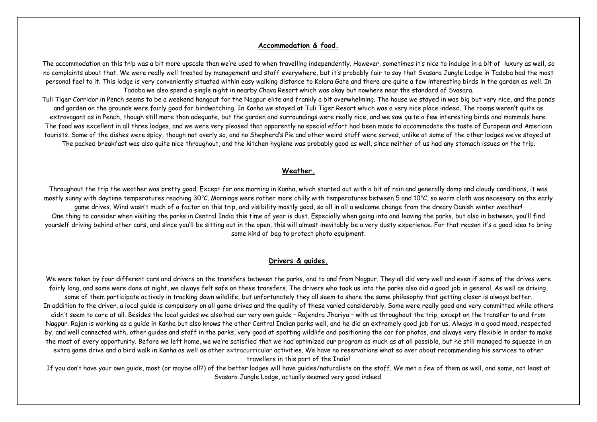### Accommodation & food.

The accommodation on this trip was a bit more upscale than we're used to when travelling independently. However, sometimes it's nice to indulge in a bit of luxury as well, so no complaints about that. We were really well treated by management and staff everywhere, but it's probably fair to say that Svasara Jungle Lodge in Tadoba had the most personal feel to it. This lodge is very conveniently situated within easy walking distance to Kolara Gate and there are quite a few interesting birds in the garden as well. In Tadoba we also spend a single night in nearby Chava Resort which was okay but nowhere near the standard of Svasara.

 Tuli Tiger Corridor in Pench seems to be a weekend hangout for the Nagpur elite and frankly a bit overwhelming. The house we stayed in was big but very nice, and the ponds and garden on the grounds were fairly good for birdwatching. In Kanha we stayed at Tuli Tiger Resort which was a very nice place indeed. The rooms weren't quite as extravagant as in Pench, though still more than adequate, but the garden and surroundings were really nice, and we saw quite a few interesting birds and mammals here. The food was excellent in all three lodges, and we were very pleased that apparently no special effort had been made to accommodate the taste of European and American tourists. Some of the dishes were spicy, though not overly so, and no Shepherd's Pie and other weird stuff were served, unlike at some of the other lodges we've stayed at. The packed breakfast was also quite nice throughout, and the kitchen hygiene was probably good as well, since neither of us had any stomach issues on the trip.

#### Weather.

Throughout the trip the weather was pretty good. Except for one morning in Kanha, which started out with a bit of rain and generally damp and cloudy conditions, it was mostly sunny with daytime temperatures reaching 30°C. Mornings were rather more chilly with temperatures between 5 and 10°C, so warm cloth was necessary on the early game drives. Wind wasn't much of a factor on this trip, and visibility mostly good, so all in all a welcome change from the dreary Danish winter weather! One thing to consider when visiting the parks in Central India this time of year is dust. Especially when going into and leaving the parks, but also in between, you'll find yourself driving behind other cars, and since you'll be sitting out in the open, this will almost inevitably be a very dusty experience. For that reason it's a good idea to bring some kind of bag to protect photo equipment.

### Drivers & guides.

We were taken by four different cars and drivers on the transfers between the parks, and to and from Nagpur. They all did very well and even if some of the drives were fairly long, and some were done at night, we always felt safe on these transfers. The drivers who took us into the parks also did a good job in general. As well as driving, some of them participate actively in tracking down wildlife, but unfortunately they all seem to share the same philosophy that getting closer is always better. In addition to the driver, a local guide is compulsory on all game drives and the quality of these varied considerably. Some were really good and very committed while others didn't seem to care at all. Besides the local guides we also had our very own guide – Rajendra Jhariya – with us throughout the trip, except on the transfer to and from Nagpur. Rajan is working as a guide in Kanha but also knows the other Central Indian parks well, and he did an extremely good job for us. Always in a good mood, respected by, and well connected with, other guides and staff in the parks, very good at spotting wildlife and positioning the car for photos, and always very flexible in order to make the most of every opportunity. Before we left home, we we're satisfied that we had optimized our program as much as at all possible, but he still managed to squeeze in an extra game drive and a bird walk in Kanha as well as other extracurricular activities. We have no reservations what so ever about recommending his services to other travellers in this part of the India!

If you don't have your own guide, most (or maybe all?) of the better lodges will have guides/naturalists on the staff. We met a few of them as well, and some, not least at Svasara Jungle Lodge, actually seemed very good indeed.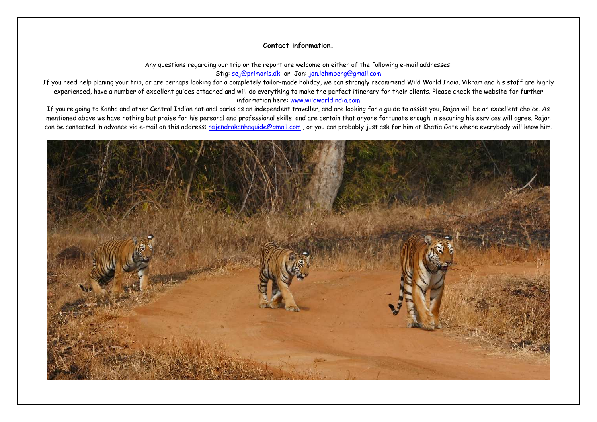# Contact information.

Any questions regarding our trip or the report are welcome on either of the following e-mail addresses: Stig: sej@primoris.dk or Jon: jon.lehmberg@gmail.com

 If you need help planing your trip, or are perhaps looking for a completely tailor-made holiday, we can strongly recommend Wild World India. Vikram and his staff are highly experienced, have a number of excellent guides attached and will do everything to make the perfect itinerary for their clients. Please check the website for further information here: www.wildworldindia.com

 If you're going to Kanha and other Central Indian national parks as an independent traveller, and are looking for a guide to assist you, Rajan will be an excellent choice. As mentioned above we have nothing but praise for his personal and professional skills, and are certain that anyone fortunate enough in securing his services will agree. Rajan can be contacted in advance via e-mail on this address: <u>rajendrakanhaguide@gmail.com</u> , or you can probably just ask for him at Khatia Gate where everybody will know him.

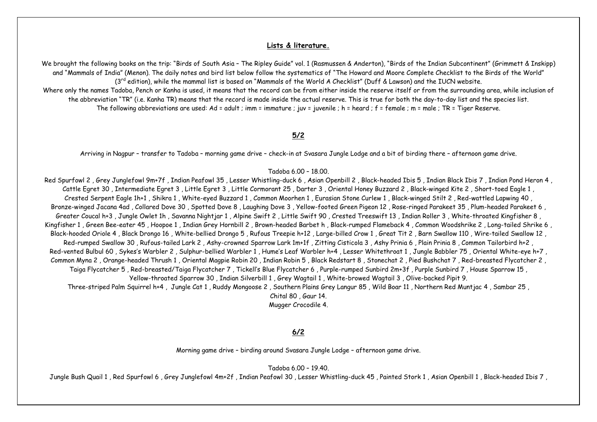### Lists & literature.

We brought the following books on the trip: "Birds of South Asia – The Ripley Guide" vol. 1 (Rasmussen & Anderton), "Birds of the Indian Subcontinent" (Grimmett & Inskipp) and "Mammals of India" (Menon). The daily notes and bird list below follow the systematics of "The Howard and Moore Complete Checklist to the Birds of the World" (3<sup>rd</sup> edition), while the mammal list is based on "Mammals of the World A Checklist" (Duff & Lawson) and the IUCN website. Where only the names Tadoba, Pench or Kanha is used, it means that the record can be from either inside the reserve itself or from the surrounding area, while inclusion of the abbreviation "TR" (i.e. Kanha TR) means that the record is made inside the actual reserve. This is true for both the day-to-day list and the species list. The following abbreviations are used: Ad = adult ; imm = immature ; juv = juvenile ; h = heard ; f = female ; m = male ; TR = Tiger Reserve.

### 5/2

Arriving in Nagpur – transfer to Tadoba – morning game drive – check-in at Svasara Jungle Lodge and a bit of birding there – afternoon game drive.

#### Tadoba 6.00 – 18.00.

 Red Spurfowl 2 , Grey Junglefowl 9m+7f , Indian Peafowl 35 , Lesser Whistling-duck 6 , Asian Openbill 2 , Black-headed Ibis 5 , Indian Black Ibis 7 , Indian Pond Heron 4 , Cattle Egret 30 , Intermediate Egret 3 , Little Egret 3 , Little Cormorant 25 , Darter 3 , Oriental Honey Buzzard 2 , Black-winged Kite 2 , Short-toed Eagle 1 , Crested Serpent Eagle 1h+1 , Shikra 1 , White-eyed Buzzard 1 , Common Moorhen 1 , Eurasian Stone Curlew 1 , Black-winged Stilt 2 , Red-wattled Lapwing 40 , Bronze-winged Jacana 4ad , Collared Dove 30 , Spotted Dove 8 , Laughing Dove 3 , Yellow-footed Green Pigeon 12 , Rose-ringed Parakeet 35 , Plum-headed Parakeet 6 , Greater Coucal h+3 , Jungle Owlet 1h , Savanna Nightjar 1 , Alpine Swift 2 , Little Swift 90 , Crested Treeswift 13 , Indian Roller 3 , White-throated Kingfisher 8 , Kingfisher 1 , Green Bee-eater 45 , Hoopoe 1 , Indian Grey Hornbill 2 , Brown-headed Barbet h , Black-rumped Flameback 4 , Common Woodshrike 2 , Long-tailed Shrike 6 , Black-hooded Oriole 4 , Black Drongo 16 , White-bellied Drongo 5 , Rufous Treepie h+12 , Large-billed Crow 1 , Great Tit 2 , Barn Swallow 110 , Wire-tailed Swallow 12 , Red-rumped Swallow 30 , Rufous-tailed Lark 2 , Ashy-crowned Sparrow Lark 1m+1f , Zitting Cisticola 3 , Ashy Prinia 6 , Plain Prinia 8 , Common Tailorbird h+2 , Red-vented Bulbul 60 , Sykes's Warbler 2 , Sulphur-bellied Warbler 1 , Hume's Leaf Warbler h+4 , Lesser Whitethroat 1 , Jungle Babbler 75 , Oriental White-eye h+7 , Common Myna 2 , Orange-headed Thrush 1 , Oriental Magpie Robin 20 , Indian Robin 5 , Black Redstart 8 , Stonechat 2 , Pied Bushchat 7 , Red-breasted Flycatcher 2 , Taiga Flycatcher 5 , Red-breasted/Taiga Flycatcher 7 , Tickell's Blue Flycatcher 6 , Purple-rumped Sunbird 2m+3f , Purple Sunbird 7 , House Sparrow 15 , Yellow-throated Sparrow 30 , Indian Silverbill 1 , Grey Wagtail 1 , White-browed Wagtail 3 , Olive-backed Pipit 9. Three-striped Palm Squirrel h+4 , Jungle Cat 1 , Ruddy Mongoose 2 , Southern Plains Grey Langur 85 , Wild Boar 11 , Northern Red Muntjac 4 , Sambar 25 , Chital 80 , Gaur 14.

Mugger Crocodile 4.

### 6/2

Morning game drive – birding around Svasara Jungle Lodge – afternoon game drive.

Tadoba 6.00 – 19.40.

Jungle Bush Quail 1 , Red Spurfowl 6 , Grey Junglefowl 4m+2f , Indian Peafowl 30 , Lesser Whistling-duck 45 , Painted Stork 1 , Asian Openbill 1 , Black-headed Ibis 7 ,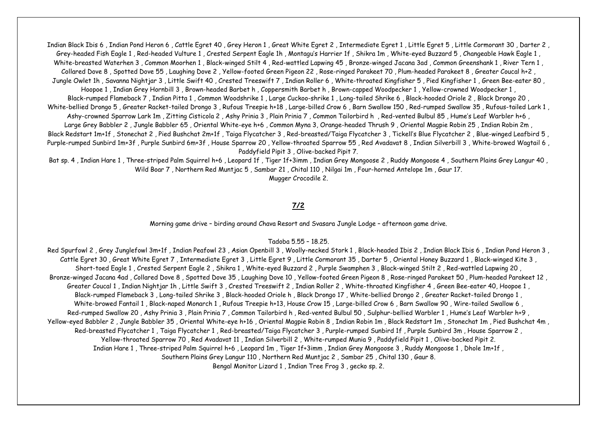Indian Black Ibis 6 , Indian Pond Heron 6 , Cattle Egret 40 , Grey Heron 1 , Great White Egret 2 , Intermediate Egret 1 , Little Egret 5 , Little Cormorant 30 , Darter 2 , Grey-headed Fish Eagle 1 , Red-headed Vulture 1 , Crested Serpent Eagle 1h , Montagu's Harrier 1f , Shikra 1m , White-eyed Buzzard 5 , Changeable Hawk Eagle 1 , White-breasted Waterhen 3 , Common Moorhen 1 , Black-winged Stilt 4 , Red-wattled Lapwing 45 , Bronze-winged Jacana 3ad , Common Greenshank 1 , River Tern 1 , Collared Dove 8 , Spotted Dove 55 , Laughing Dove 2 , Yellow-footed Green Pigeon 22 , Rose-ringed Parakeet 70 , Plum-headed Parakeet 8 , Greater Coucal h+2 , Jungle Owlet 1h , Savanna Nightjar 3 , Little Swift 40 , Crested Treeswift 7 , Indian Roller 6 , White-throated Kingfisher 5 , Pied Kingfisher 1 , Green Bee-eater 80 , Hoopoe 1 , Indian Grey Hornbill 3 , Brown-headed Barbet h , Coppersmith Barbet h , Brown-capped Woodpecker 1 , Yellow-crowned Woodpecker 1 , Black-rumped Flameback 7 , Indian Pitta 1 , Common Woodshrike 1 , Large Cuckoo-shrike 1 , Long-tailed Shrike 6 , Black-hooded Oriole 2 , Black Drongo 20 , White-bellied Drongo 5 , Greater Racket-tailed Drongo 3 , Rufous Treepie h+18 , Large-billed Crow 6 , Barn Swallow 150 , Red-rumped Swallow 35 , Rufous-tailed Lark 1 , Ashy-crowned Sparrow Lark 1m , Zitting Cisticola 2 , Ashy Prinia 3 , Plain Prinia 7 , Common Tailorbird h , Red-vented Bulbul 85 , Hume's Leaf Warbler h+6 , Large Grey Babbler 2 , Jungle Babbler 65 , Oriental White-eye h+6 , Common Myna 3, Orange-headed Thrush 9 , Oriental Magpie Robin 25 , Indian Robin 2m , Black Redstart 1m+1f , Stonechat 2 , Pied Bushchat 2m+1f , Taiga Flycatcher 3 , Red-breasted/Taiga Flycatcher 3 , Tickell's Blue Flycatcher 2 , Blue-winged Leafbird 5 , Purple-rumped Sunbird 1m+3f , Purple Sunbird 6m+3f , House Sparrow 20 , Yellow-throated Sparrow 55 , Red Avadavat 8 , Indian Silverbill 3 , White-browed Wagtail 6 , Paddyfield Pipit 3 , Olive-backed Pipit 7.

 Bat sp. 4 , Indian Hare 1 , Three-striped Palm Squirrel h+6 , Leopard 1f , Tiger 1f+3imm , Indian Grey Mongoose 2 , Ruddy Mongoose 4 , Southern Plains Grey Langur 40 , Wild Boar 7 , Northern Red Muntjac 5 , Sambar 21 , Chital 110 , Nilgai 1m , Four-horned Antelope 1m , Gaur 17.

Mugger Crocodile 2.

### 7/2

Morning game drive – birding around Chava Resort and Svasara Jungle Lodge – afternoon game drive.

#### Tadoba 5.55 – 18.25.

Red Spurfowl 2 , Grey Junglefowl 3m+1f , Indian Peafowl 23 , Asian Openbill 3 , Woolly-necked Stork 1 , Black-headed Ibis 2 , Indian Black Ibis 6 , Indian Pond Heron 3 , Cattle Egret 30 , Great White Egret 7 , Intermediate Egret 3 , Little Egret 9 , Little Cormorant 35 , Darter 5 , Oriental Honey Buzzard 1 , Black-winged Kite 3 , Short-toed Eagle 1 , Crested Serpent Eagle 2 , Shikra 1 , White-eyed Buzzard 2 , Purple Swamphen 3 , Black-winged Stilt 2 , Red-wattled Lapwing 20 , Bronze-winged Jacana 4ad , Collared Dove 8 , Spotted Dove 35 , Laughing Dove 10 , Yellow-footed Green Pigeon 8 , Rose-ringed Parakeet 50 , Plum-headed Parakeet 12 , Greater Coucal 1 , Indian Nightjar 1h , Little Swift 3 , Crested Treeswift 2 , Indian Roller 2 , White-throated Kingfisher 4 , Green Bee-eater 40, Hoopoe 1 , Black-rumped Flameback 3 , Long-tailed Shrike 3 , Black-hooded Oriole h , Black Drongo 17 , White-bellied Drongo 2 , Greater Racket-tailed Drongo 1 , White-browed Fantail 1 , Black-naped Monarch 1 , Rufous Treepie h+13, House Crow 15 , Large-billed Crow 6 , Barn Swallow 90 , Wire-tailed Swallow 6 , Red-rumped Swallow 20 , Ashy Prinia 3 , Plain Prinia 7 , Common Tailorbird h , Red-vented Bulbul 50 , Sulphur-bellied Warbler 1 , Hume's Leaf Warbler h+9 , Yellow-eyed Babbler 2 , Jungle Babbler 35 , Oriental White-eye h+16 , Oriental Magpie Robin 8 , Indian Robin 1m , Black Redstart 1m , Stonechat 1m , Pied Bushchat 4m , Red-breasted Flycatcher 1 , Taiga Flycatcher 1 , Red-breasted/Taiga Flycatcher 3 , Purple-rumped Sunbird 1f , Purple Sunbird 3m , House Sparrow 2 , Yellow-throated Sparrow 70 , Red Avadavat 11 , Indian Silverbill 2 , White-rumped Munia 9 , Paddyfield Pipit 1 , Olive-backed Pipit 2. Indian Hare 1 , Three-striped Palm Squirrel h+6 , Leopard 1m , Tiger 1f+3imm , Indian Grey Mongoose 3 , Ruddy Mongoose 1 , Dhole 1m+1f , Southern Plains Grey Langur 110 , Northern Red Muntjac 2 , Sambar 25 , Chital 130 , Gaur 8. Bengal Monitor Lizard 1 , Indian Tree Frog 3 , gecko sp. 2.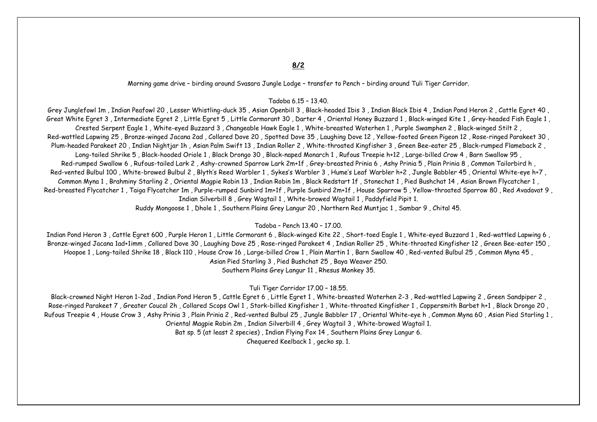### 8/2

Morning game drive – birding around Svasara Jungle Lodge – transfer to Pench – birding around Tuli Tiger Corridor.

#### Tadoba 6.15 – 13.40.

Grey Junglefowl 1m , Indian Peafowl 20 , Lesser Whistling-duck 35 , Asian Openbill 3 , Black-headed Ibis 3 , Indian Black Ibis 4 , Indian Pond Heron 2 , Cattle Egret 40 , Great White Egret 3 , Intermediate Egret 2 , Little Egret 5 , Little Cormorant 30 , Darter 4 , Oriental Honey Buzzard 1 , Black-winged Kite 1 , Grey-headed Fish Eagle 1 , Crested Serpent Eagle 1 , White-eyed Buzzard 3 , Changeable Hawk Eagle 1 , White-breasted Waterhen 1 , Purple Swamphen 2 , Black-winged Stilt 2 , Red-wattled Lapwing 25 , Bronze-winged Jacana 2ad , Collared Dove 20 , Spotted Dove 35 , Laughing Dove 12 , Yellow-footed Green Pigeon 12 , Rose-ringed Parakeet 30 , Plum-headed Parakeet 20 , Indian Nightjar 1h , Asian Palm Swift 13 , Indian Roller 2 , White-throated Kingfisher 3 , Green Bee-eater 25 , Black-rumped Flameback 2 , Long-tailed Shrike 5 , Black-hooded Oriole 1 , Black Drongo 30 , Black-naped Monarch 1 , Rufous Treepie h+12 , Large-billed Crow 4 , Barn Swallow 95 , Red-rumped Swallow 6, Rufous-tailed Lark 2, Ashy-crowned Sparrow Lark 2m+1f, Grey-breasted Prinia 6, Ashy Prinia 5, Plain Prinia 8, Common Tailorbird h, Red-vented Bulbul 100 , White-browed Bulbul 2 , Blyth's Reed Warbler 1 , Sykes's Warbler 3 , Hume's Leaf Warbler h+2 , Jungle Babbler 45 , Oriental White-eye h+7 , Common Myna 1 , Brahminy Starling 2 , Oriental Magpie Robin 13 , Indian Robin 1m , Black Redstart 1f , Stonechat 1 , Pied Bushchat 14 , Asian Brown Flycatcher 1 , Red-breasted Flycatcher 1 , Taiga Flycatcher 1m , Purple-rumped Sunbird 1m+1f , Purple Sunbird 2m+1f , House Sparrow 5 , Yellow-throated Sparrow 80 , Red Avadavat 9 , Indian Silverbill 8 , Grey Wagtail 1 , White-browed Wagtail 1 , Paddyfield Pipit 1.

Ruddy Mongoose 1 , Dhole 1 , Southern Plains Grey Langur 20 , Northern Red Muntjac 1 , Sambar 9 , Chital 45.

#### Tadoba – Pench 13.40 – 17.00.

Indian Pond Heron 3 , Cattle Egret 600 , Purple Heron 1 , Little Cormorant 6 , Black-winged Kite 22 , Short-toed Eagle 1 , White-eyed Buzzard 1 , Red-wattled Lapwing 6 , Bronze-winged Jacana 1ad+1imm , Collared Dove 30 , Laughing Dove 25 , Rose-ringed Parakeet 4 , Indian Roller 25 , White-throated Kingfisher 12 , Green Bee-eater 150 , Hoopoe 1 , Long-tailed Shrike 18 , Black 110 , House Crow 16 , Large-billed Crow 1 , Plain Martin 1 , Barn Swallow 40 , Red-vented Bulbul 25 , Common Myna 45 , Asian Pied Starling 3 , Pied Bushchat 25 , Baya Weaver 250. Southern Plains Grey Langur 11 , Rhesus Monkey 35.

Tuli Tiger Corridor 17.00 – 18.55.

Black-crowned Night Heron 1-2ad , Indian Pond Heron 5 , Cattle Egret 6 , Little Egret 1 , White-breasted Waterhen 2-3 , Red-wattled Lapwing 2 , Green Sandpiper 2 , Rose-ringed Parakeet 7 , Greater Coucal 2h , Collared Scops Owl 1 , Stork-billed Kingfisher 1 , White-throated Kingfisher 1 , Coppersmith Barbet h+1 , Black Drongo 20 , Rufous Treepie 4 , House Crow 3 , Ashy Prinia 3 , Plain Prinia 2 , Red-vented Bulbul 25 , Jungle Babbler 17 , Oriental White-eye h , Common Myna 60 , Asian Pied Starling 1 , Oriental Magpie Robin 2m , Indian Silverbill 4 , Grey Wagtail 3 , White-browed Wagtail 1.

Bat sp. 5 (at least 2 species) , Indian Flying Fox 14 , Southern Plains Grey Langur 6.

Chequered Keelback 1 , gecko sp. 1.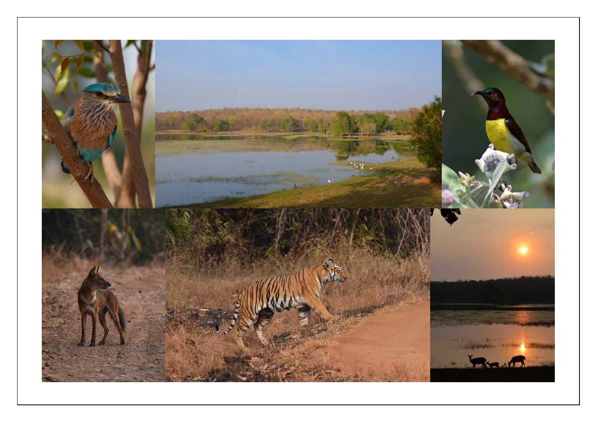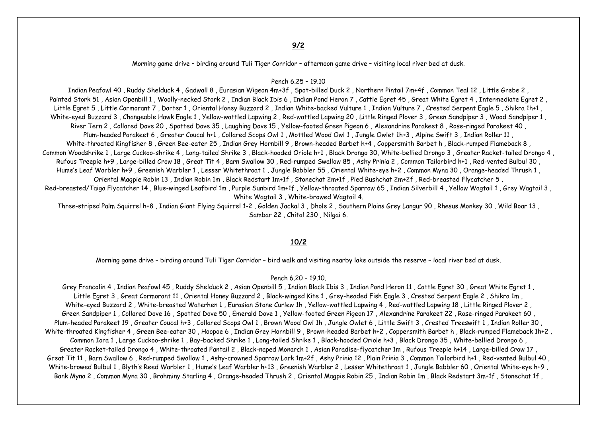### 9/2

Morning game drive – birding around Tuli Tiger Corridor – afternoon game drive – visiting local river bed at dusk.

#### Pench 6.25 – 19.10

 Indian Peafowl 40 , Ruddy Shelduck 4 , Gadwall 8 , Eurasian Wigeon 4m+3f , Spot-billed Duck 2 , Northern Pintail 7m+4f , Common Teal 12 , Little Grebe 2 , Painted Stork 51, Asian Openbill 1, Woolly-necked Stork 2, Indian Black Ibis 6, Indian Pond Heron 7, Cattle Egret 45, Great White Egret 4, Intermediate Egret 2, Little Egret 5 , Little Cormorant 7 , Darter 1 , Oriental Honey Buzzard 2 , Indian White-backed Vulture 1 , Indian Vulture 7 , Crested Serpent Eagle 5 , Shikra 1h+1 , White-eyed Buzzard 3 , Changeable Hawk Eagle 1 , Yellow-wattled Lapwing 2 , Red-wattled Lapwing 20 , Little Ringed Plover 3 , Green Sandpiper 3 , Wood Sandpiper 1 , River Tern 2 , Collared Dove 20 , Spotted Dove 35 , Laughing Dove 15 , Yellow-footed Green Pigeon 6 , Alexandrine Parakeet 8 , Rose-ringed Parakeet 40 , Plum-headed Parakeet 6 , Greater Coucal h+1 , Collared Scops Owl 1 , Mottled Wood Owl 1 , Jungle Owlet 1h+3 , Alpine Swift 3 , Indian Roller 11 , White-throated Kingfisher 8, Green Bee-eater 25, Indian Grey Hornbill 9, Brown-headed Barbet h+4, Coppersmith Barbet h, Black-rumped Flameback 8, Common Woodshrike 1 , Large Cuckoo-shrike 4 , Long-tailed Shrike 3 , Black-hooded Oriole h+1 , Black Drongo 30, White-bellied Drongo 3 , Greater Racket-tailed Drongo 4 , Rufous Treepie h+9 , Large-billed Crow 18 , Great Tit 4 , Barn Swallow 30 , Red-rumped Swallow 85 , Ashy Prinia 2 , Common Tailorbird h+1 , Red-vented Bulbul 30 , Hume's Leaf Warbler h+9 , Greenish Warbler 1 , Lesser Whitethroat 1 , Jungle Babbler 55 , Oriental White-eye h+2 , Common Myna 30 , Orange-headed Thrush 1 , Oriental Magpie Robin 13 , Indian Robin 1m , Black Redstart 1m+1f , Stonechat 2m+1f , Pied Bushchat 2m+2f , Red-breasted Flycatcher 5 , Red-breasted/Taiga Flycatcher 14 , Blue-winged Leafbird 1m , Purple Sunbird 1m+1f , Yellow-throated Sparrow 65 , Indian Silverbill 4 , Yellow Wagtail 1 , Grey Wagtail 3 , White Wagtail 3 , White-browed Wagtail 4.

Three-striped Palm Squirrel h+8 , Indian Giant Flying Squirrel 1-2 , Golden Jackal 3 , Dhole 2 , Southern Plains Grey Langur 90 , Rhesus Monkey 30 , Wild Boar 13 , Sambar 22 , Chital 230 , Nilgai 6.

#### 10/2

Morning game drive – birding around Tuli Tiger Corridor – bird walk and visiting nearby lake outside the reserve – local river bed at dusk.

#### Pench 6.20 – 19.10.

Grey Francolin 4 , Indian Peafowl 45 , Ruddy Shelduck 2 , Asian Openbill 5 , Indian Black Ibis 3 , Indian Pond Heron 11 , Cattle Egret 30 , Great White Egret 1 , Little Egret 3 , Great Cormorant 11 , Oriental Honey Buzzard 2 , Black-winged Kite 1 , Grey-headed Fish Eagle 3 , Crested Serpent Eagle 2 , Shikra 1m , White-eyed Buzzard 2 , White-breasted Waterhen 1 , Eurasian Stone Curlew 1h , Yellow-wattled Lapwing 4 , Red-wattled Lapwing 18 , Little Ringed Plover 2 , Green Sandpiper 1 , Collared Dove 16 , Spotted Dove 50 , Emerald Dove 1 , Yellow-footed Green Pigeon 17 , Alexandrine Parakeet 22 , Rose-ringed Parakeet 60 , Plum-headed Parakeet 19 , Greater Coucal h+3 , Collared Scops Owl 1 , Brown Wood Owl 1h , Jungle Owlet 6 , Little Swift 3 , Crested Treeswift 1 , Indian Roller 30 , White-throated Kingfisher 4, Green Bee-eater 30, Hoopoe 6, Indian Grey Hornbill 9, Brown-headed Barbet h+2, Coppersmith Barbet h, Black-rumped Flameback 1h+2, Common Iora 1 , Large Cuckoo-shrike 1 , Bay-backed Shrike 1 , Long-tailed Shrike 1 , Black-hooded Oriole h+3 , Black Drongo 35 , White-bellied Drongo 6 , Greater Racket-tailed Drongo 4 , White-throated Fantail 2 , Black-naped Monarch 1 , Asian Paradise-flycatcher 1m , Rufous Treepie h+14 , Large-billed Crow 17 , Great Tit 11 , Barn Swallow 6 , Red-rumped Swallow 1 , Ashy-crowned Sparrow Lark 1m+2f , Ashy Prinia 12 , Plain Prinia 3 , Common Tailorbird h+1 , Red-vented Bulbul 40 , White-browed Bulbul 1 , Blyth's Reed Warbler 1 , Hume's Leaf Warbler h+13 , Greenish Warbler 2 , Lesser Whitethroat 1 , Jungle Babbler 60 , Oriental White-eye h+9 , Bank Myna 2 , Common Myna 30 , Brahminy Starling 4 , Orange-headed Thrush 2 , Oriental Magpie Robin 25 , Indian Robin 1m , Black Redstart 3m+1f , Stonechat 1f ,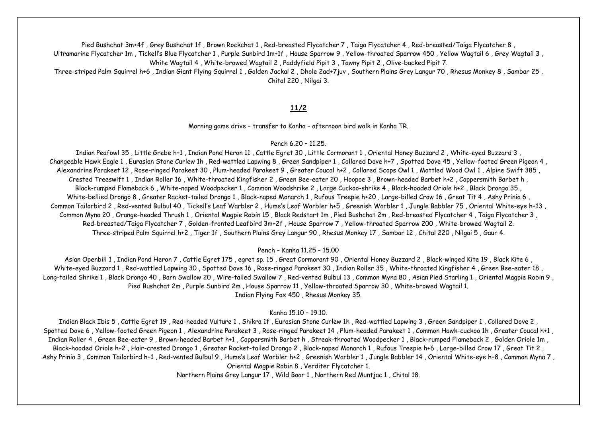Pied Bushchat 3m+4f , Grey Bushchat 1f , Brown Rockchat 1 , Red-breasted Flycatcher 7 , Taiga Flycatcher 4 , Red-breasted/Taiga Flycatcher 8 , Ultramarine Flycatcher 1m , Tickell's Blue Flycatcher 1 , Purple Sunbird 1m+1f , House Sparrow 9 , Yellow-throated Sparrow 450 , Yellow Wagtail 6 , Grey Wagtail 3 , White Wagtail 4 , White-browed Wagtail 2 , Paddyfield Pipit 3 , Tawny Pipit 2 , Olive-backed Pipit 7.

Three-striped Palm Squirrel h+6 , Indian Giant Flying Squirrel 1 , Golden Jackal 2 , Dhole 2ad+7juv , Southern Plains Grey Langur 70 , Rhesus Monkey 8 , Sambar 25 , Chital 220 , Nilgai 3.

### 11/2

Morning game drive – transfer to Kanha – afternoon bird walk in Kanha TR.

#### Pench 6.20 – 11.25.

Indian Peafowl 35 , Little Grebe h+1 , Indian Pond Heron 11 , Cattle Egret 30 , Little Cormorant 1 , Oriental Honey Buzzard 2 , White-eyed Buzzard 3 , Changeable Hawk Eagle 1 , Eurasian Stone Curlew 1h , Red-wattled Lapwing 8 , Green Sandpiper 1 , Collared Dove h+7 , Spotted Dove 45 , Yellow-footed Green Pigeon 4 , Alexandrine Parakeet 12 , Rose-ringed Parakeet 30 , Plum-headed Parakeet 9 , Greater Coucal h+2 , Collared Scops Owl 1 , Mottled Wood Owl 1 , Alpine Swift 385 , Crested Treeswift 1 , Indian Roller 16 , White-throated Kingfisher 2 , Green Bee-eater 20 , Hoopoe 3 , Brown-headed Barbet h+2 , Coppersmith Barbet h , Black-rumped Flameback 6 , White-naped Woodpecker 1 , Common Woodshrike 2 , Large Cuckoo-shrike 4 , Black-hooded Oriole h+2 , Black Drongo 35 , White-bellied Drongo 8 , Greater Racket-tailed Drongo 1 , Black-naped Monarch 1 , Rufous Treepie h+20 , Large-billed Crow 16 , Great Tit 4 , Ashy Prinia 6 , Common Tailorbird 2 , Red-vented Bulbul 40 , Tickell's Leaf Warbler 2 , Hume's Leaf Warbler h+5 , Greenish Warbler 1 , Jungle Babbler 75 , Oriental White-eye h+13 , Common Myna 20 , Orange-headed Thrush 1 , Oriental Magpie Robin 15 , Black Redstart 1m , Pied Bushchat 2m , Red-breasted Flycatcher 4 , Taiga Flycatcher 3 , Red-breasted/Taiga Flycatcher 7 , Golden-fronted Leafbird 3m+2f , House Sparrow 7 , Yellow-throated Sparrow 200 , White-browed Wagtail 2. Three-striped Palm Squirrel h+2 , Tiger 1f , Southern Plains Grey Langur 90 , Rhesus Monkey 17 , Sambar 12 , Chital 220 , Nilgai 5 , Gaur 4.

#### Pench – Kanha 11.25 – 15.00

 Asian Openbill 1 , Indian Pond Heron 7 , Cattle Egret 175 , egret sp. 15 , Great Cormorant 90 , Oriental Honey Buzzard 2 , Black-winged Kite 19 , Black Kite 6 , White-eyed Buzzard 1 , Red-wattled Lapwing 30 , Spotted Dove 16 , Rose-ringed Parakeet 30 , Indian Roller 35 , White-throated Kingfisher 4 , Green Bee-eater 18 , Long-tailed Shrike 1 , Black Drongo 40 , Barn Swallow 20 , Wire-tailed Swallow 7 , Red-vented Bulbul 13 , Common Myna 80 , Asian Pied Starling 1 , Oriental Magpie Robin 9 , Pied Bushchat 2m , Purple Sunbird 2m , House Sparrow 11 , Yellow-throated Sparrow 30 , White-browed Wagtail 1. Indian Flying Fox 450 , Rhesus Monkey 35.

#### Kanha 15.10 – 19.10.

 Indian Black Ibis 5 , Cattle Egret 19 , Red-headed Vulture 1 , Shikra 1f , Eurasian Stone Curlew 1h , Red-wattled Lapwing 3 , Green Sandpiper 1 , Collared Dove 2 , Spotted Dove 6 , Yellow-footed Green Pigeon 1 , Alexandrine Parakeet 3 , Rose-ringed Parakeet 14 , Plum-headed Parakeet 1 , Common Hawk-cuckoo 1h , Greater Coucal h+1 , Indian Roller 4, Green Bee-eater 9, Brown-headed Barbet h+1, Coppersmith Barbet h, Streak-throated Woodpecker 1, Black-rumped Flameback 2, Golden Oriole 1m, Black-hooded Oriole h+2 , Hair-crested Drongo 1 , Greater Racket-tailed Drongo 2 , Black-naped Monarch 1 , Rufous Treepie h+6 , Large-billed Crow 17 , Great Tit 2 , Ashy Prinia 3 , Common Tailorbird h+1 , Red-vented Bulbul 9 , Hume's Leaf Warbler h+2 , Greenish Warbler 1 , Jungle Babbler 14 , Oriental White-eye h+8 , Common Myna 7 , Oriental Magpie Robin 8 , Verditer Flycatcher 1.

Northern Plains Grey Langur 17 , Wild Boar 1 , Northern Red Muntjac 1 , Chital 18.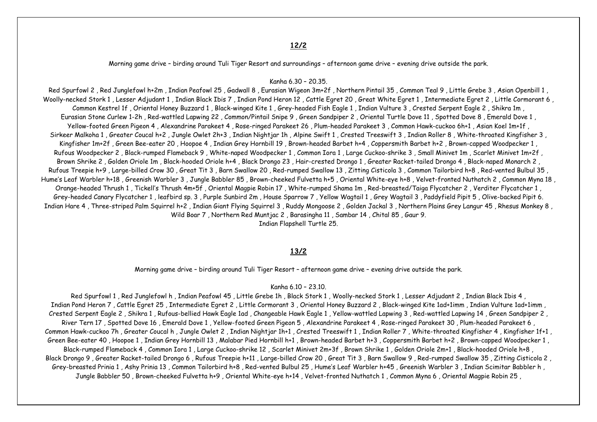Morning game drive – birding around Tuli Tiger Resort and surroundings – afternoon game drive – evening drive outside the park.

#### Kanha 6.30 – 20.35.

Red Spurfowl 2, Red Junglefowl h+2m, Indian Peafowl 25, Gadwall 8, Eurasian Wigeon 3m+2f, Northern Pintail 35, Common Teal 9, Little Grebe 3, Asian Openbill 1, Woolly-necked Stork 1 , Lesser Adjudant 1 , Indian Black Ibis 7 , Indian Pond Heron 12 , Cattle Egret 20 , Great White Egret 1 , Intermediate Egret 2 , Little Cormorant 6 , Common Kestrel 1f , Oriental Honey Buzzard 1 , Black-winged Kite 1 , Grey-headed Fish Eagle 1 , Indian Vulture 3 , Crested Serpent Eagle 2 , Shikra 1m , Eurasian Stone Curlew 1-2h , Red-wattled Lapwing 22 , Common/Pintail Snipe 9 , Green Sandpiper 2 , Oriental Turtle Dove 11 , Spotted Dove 8 , Emerald Dove 1 , Yellow-footed Green Pigeon 4 , Alexandrine Parakeet 4 , Rose-ringed Parakeet 26 , Plum-headed Parakeet 3 , Common Hawk-cuckoo 6h+1 , Asian Koel 1m+1f , Sirkeer Malkoha 1 , Greater Coucal h+2 , Jungle Owlet 2h+3 , Indian Nightjar 1h , Alpine Swift 1 , Crested Treeswift 3 , Indian Roller 8 , White-throated Kingfisher 3 , Kingfisher 1m+2f , Green Bee-eater 20 , Hoopoe 4 , Indian Grey Hornbill 19 , Brown-headed Barbet h+4 , Coppersmith Barbet h+2 , Brown-capped Woodpecker 1 , Rufous Woodpecker 2 , Black-rumped Flameback 9 , White-naped Woodpecker 1 , Common Iora 1 , Large Cuckoo-shrike 3 , Small Minivet 1m , Scarlet Minivet 1m+2f , Brown Shrike 2 , Golden Oriole 1m , Black-hooded Oriole h+4 , Black Drongo 23 , Hair-crested Drongo 1 , Greater Racket-tailed Drongo 4 , Black-naped Monarch 2 , Rufous Treepie h+9, Large-billed Crow 30, Great Tit 3, Barn Swallow 20, Red-rumped Swallow 13, Zitting Cisticola 3, Common Tailorbird h+8, Red-vented Bulbul 35, Hume's Leaf Warbler h+18 , Greenish Warbler 3 , Jungle Babbler 85 , Brown-cheeked Fulvetta h+5 , Oriental White-eye h+8 , Velvet-fronted Nuthatch 2 , Common Myna 18 , Orange-headed Thrush 1 , Tickell's Thrush 4m+5f , Oriental Magpie Robin 17 , White-rumped Shama 1m , Red-breasted/Taiga Flycatcher 2 , Verditer Flycatcher 1 , Grey-headed Canary Flycatcher 1 , leafbird sp. 3 , Purple Sunbird 2m , House Sparrow 7 , Yellow Wagtail 1 , Grey Wagtail 3 , Paddyfield Pipit 5 , Olive-backed Pipit 6. Indian Hare 4 , Three-striped Palm Squirrel h+2 , Indian Giant Flying Squirrel 3 , Ruddy Mongoose 2 , Golden Jackal 3 , Northern Plains Grey Langur 45 , Rhesus Monkey 8 , Wild Boar 7 , Northern Red Muntjac 2 , Barasingha 11 , Sambar 14 , Chital 85 , Gaur 9. Indian Flapshell Turtle 25.

# 13/2

Morning game drive – birding around Tuli Tiger Resort – afternoon game drive – evening drive outside the park.

#### Kanha 6.10 – 23.10.

Red Spurfowl 1, Red Junglefowl h, Indian Peafowl 45, Little Grebe 1h, Black Stork 1, Woolly-necked Stork 1, Lesser Adjudant 2, Indian Black Ibis 4, Indian Pond Heron 7 , Cattle Egret 25 , Intermediate Egret 2 , Little Cormorant 3 , Oriental Honey Buzzard 2 , Black-winged Kite 1ad+1imm , Indian Vulture 1ad+1imm , Crested Serpent Eagle 2 , Shikra 1 , Rufous-bellied Hawk Eagle 1ad , Changeable Hawk Eagle 1 , Yellow-wattled Lapwing 3 , Red-wattled Lapwing 14 , Green Sandpiper 2 , River Tern 17 , Spotted Dove 16 , Emerald Dove 1 , Yellow-footed Green Pigeon 5 , Alexandrine Parakeet 4 , Rose-ringed Parakeet 30 , Plum-headed Parakeet 6 , Common Hawk-cuckoo 7h , Greater Coucal h , Jungle Owlet 2 , Indian Nightjar 1h+1 , Crested Treeswift 1 , Indian Roller 7 , White-throated Kingfisher 4 , Kingfisher 1f+1 , Green Bee-eater 40 , Hoopoe 1 , Indian Grey Hornbill 13 , Malabar Pied Hornbill h+1 , Brown-headed Barbet h+3 , Coppersmith Barbet h+2 , Brown-capped Woodpecker 1 , Black-rumped Flameback 4 , Common Iora 1 , Large Cuckoo-shrike 12 , Scarlet Minivet 2m+3f , Brown Shrike 1 , Golden Oriole 2m+1 , Black-hooded Oriole h+8 , Black Drongo 9 , Greater Racket-tailed Drongo 6 , Rufous Treepie h+11 , Large-billed Crow 20 , Great Tit 3 , Barn Swallow 9 , Red-rumped Swallow 35 , Zitting Cisticola 2 , Grey-breasted Prinia 1 , Ashy Prinia 13 , Common Tailorbird h+8 , Red-vented Bulbul 25 , Hume's Leaf Warbler h+45 , Greenish Warbler 3 , Indian Scimitar Babbler h , Jungle Babbler 50 , Brown-cheeked Fulvetta h+9 , Oriental White-eye h+14 , Velvet-fronted Nuthatch 1 , Common Myna 6 , Oriental Magpie Robin 25 ,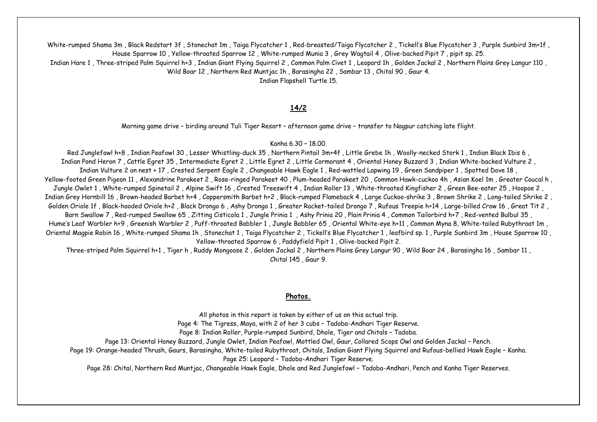White-rumped Shama 3m , Black Redstart 3f , Stonechat 1m , Taiga Flycatcher 1 , Red-breasted/Taiga Flycatcher 2 , Tickell's Blue Flycatcher 3 , Purple Sunbird 3m+1f , House Sparrow 10 , Yellow-throated Sparrow 12 , White-rumped Munia 3 , Grey Wagtail 4 , Olive-backed Pipit 7 , pipit sp. 25.

Indian Hare 1 , Three-striped Palm Squirrel h+3 , Indian Giant Flying Squirrel 2 , Common Palm Civet 1 , Leopard 1h , Golden Jackal 2 , Northern Plains Grey Langur 110 ,

Wild Boar 12 , Northern Red Muntjac 1h , Barasingha 22 , Sambar 13 , Chital 90 , Gaur 4.

Indian Flapshell Turtle 15.

### 14/2

Morning game drive – birding around Tuli Tiger Resort – afternoon game drive – transfer to Nagpur catching late flight.

#### Kanha 6.30 – 18.00.

Red Junglefowl h+8, Indian Peafowl 30, Lesser Whistling-duck 35, Northern Pintail 3m+4f, Little Grebe 1h, Woolly-necked Stork 1, Indian Black Ibis 6, Indian Pond Heron 7 , Cattle Egret 35 , Intermediate Egret 2 , Little Egret 2 , Little Cormorant 4 , Oriental Honey Buzzard 3 , Indian White-backed Vulture 2 , Indian Vulture 2 on nest + 17 , Crested Serpent Eagle 2 , Changeable Hawk Eagle 1 , Red-wattled Lapwing 19 , Green Sandpiper 1 , Spotted Dove 18 , Yellow-footed Green Pigeon 11 , Alexandrine Parakeet 2 , Rose-ringed Parakeet 40 , Plum-headed Parakeet 20 , Common Hawk-cuckoo 4h , Asian Koel 1m , Greater Coucal h , Jungle Owlet 1 , White-rumped Spinetail 2 , Alpine Swift 16 , Crested Treeswift 4 , Indian Roller 13 , White-throated Kingfisher 2 , Green Bee-eater 25 , Hoopoe 2 , Indian Grey Hornbill 16 , Brown-headed Barbet h+4 , Coppersmith Barbet h+2 , Black-rumped Flameback 4 , Large Cuckoo-shrike 3 , Brown Shrike 2 , Long-tailed Shrike 2 , Golden Oriole 1f , Black-hooded Oriole h+2 , Black Drongo 6 , Ashy Drongo 1 , Greater Racket-tailed Drongo 7 , Rufous Treepie h+14 , Large-billed Crow 16 , Great Tit 2 , Barn Swallow 7 , Red-rumped Swallow 65 , Zitting Cisticola 1 , Jungle Prinia 1 , Ashy Prinia 20 , Plain Prinia 4 , Common Tailorbird h+7 , Red-vented Bulbul 35 , Hume's Leaf Warbler h+9 , Greenish Warbler 2 , Puff-throated Babbler 1 , Jungle Babbler 65 , Oriental White-eye h+11 , Common Myna 8, White-tailed Rubythroat 1m , Oriental Magpie Robin 16 , White-rumped Shama 1h , Stonechat 1 , Taiga Flycatcher 2 , Tickell's Blue Flycatcher 1 , leafbird sp. 1 , Purple Sunbird 3m , House Sparrow 10 , Yellow-throated Sparrow 6 , Paddyfield Pipit 1 , Olive-backed Pipit 2.

Three-striped Palm Squirrel h+1 , Tiger h , Ruddy Mongoose 2 , Golden Jackal 2 , Northern Plains Grey Langur 90 , Wild Boar 24 , Barasingha 16 , Sambar 11 , Chital 145 , Gaur 9.

#### Photos.

All photos in this report is taken by either of us on this actual trip. Page 4: The Tigress, Maya, with 2 of her 3 cubs – Tadoba-Andhari Tiger Reserve. Page 8: Indian Roller, Purple-rumped Sunbird, Dhole, Tiger and Chitals – Tadoba. Page 13: Oriental Honey Buzzard, Jungle Owlet, Indian Peafowl, Mottled Owl, Gaur, Collared Scops Owl and Golden Jackal – Pench. Page 19: Orange-headed Thrush, Gaurs, Barasingha, White-tailed Rubythroat, Chitals, Indian Giant Flying Squirrel and Rufous-bellied Hawk Eagle – Kanha. Page 25: Leopard – Tadoba-Andhari Tiger Reserve. Page 28: Chital, Northern Red Muntjac, Changeable Hawk Eagle, Dhole and Red Junglefowl – Tadoba-Andhari, Pench and Kanha Tiger Reserves.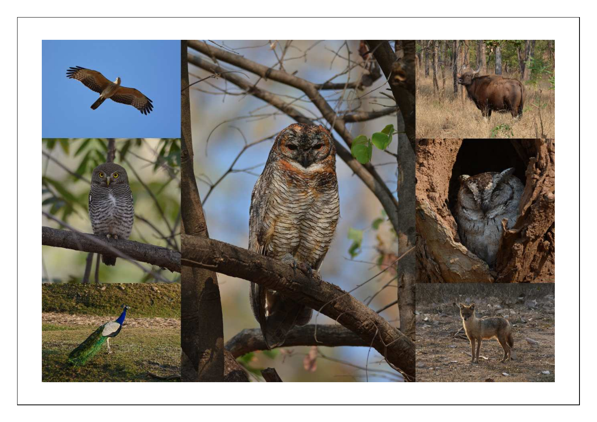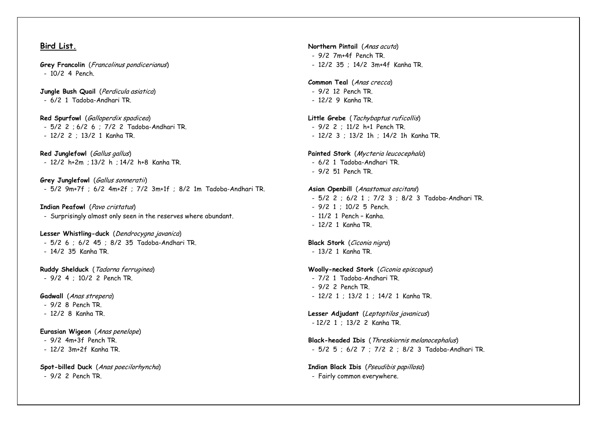# Bird List.

### Grey Francolin (Francolinus pondicerianus) - 10/2 4 Pench.

# Jungle Bush Quail (*Perdicula asiatica*) - 9/2 12 Pench TR.

- 6/2 1 Tadoba-Andhari TR. - 12/2 9 Kanha TR.

 - 5/2 2 ; 6/2 6 ; 7/2 2 Tadoba-Andhari TR. - 9/2 2 ; 11/2 h+1 Pench TR. - 12/2 2 ; 13/2 1 Kanha TR. - 12/2 3 ; 13/2 1h ; 14/2 1h Kanha TR.

- 12/2 h+2m ; 13/2 h ; 14/2 h+8 Kanha TR. - 6/2 1 Tadoba-Andhari TR.

Grey Junglefowl (Gallus sonneratii) - 5/2 9m+7f ; 6/2 4m+2f ; 7/2 3m+1f ; 8/2 1m Tadoba-Andhari TR. **Asian Openbill** (Anastomus oscitans)

### Indian Peafowl (Pavo cristatus) 30 and 100 and 100 and 100 and 100 and 100 and 100 and 100 and 100 and 100 and 100 and 100 and 100 and 100 and 100 and 100 and 100 and 100 and 100 and 100 and 100 and 100 and 100 and 100 and

- Surprisingly almost only seen in the reserves where abundant. The state of the 11/2 1 Pench – Kanha.

# Lesser Whistling-duck (Dendrocygna javanica)

- 5/2 6 ; 6/2 45 ; 8/2 35 Tadoba-Andhari TR. Black Stork (Ciconia nigra) - 14/2 35 Kanha TR. - 13/2 1 Kanha TR.

- 9/2 4 : 10/2 2 Pench TR. - 7/2 1 Tadoba-Andhari TR.

- 9/2 8 Pench TR.
- 

### Eurasian Wigeon (Anas penelope)

# Spot-billed Duck (Anas poecilorhyncha) and is a series of the series of the series of the Spot-billed Duck (Anas poecilorhyncha) - 9/2 2 Pench TR.  $\overline{ }$

#### Northern Pintail (Anas acuta)

- 9/2 7m+4f Pench TR.
- $-12/2$  35 · 14/2 3m+4f Kanha TR

### Common Teal (Anas crecca)

- 
- 

### Red Spurfowl (Galloperdix spadicea) Little Grebe (Tachybaptus ruficollis)

- 
- 

### Red Junglefowl (Gallus gallus) **Painted Stork (Mycteria leucocephala)** Painted Stork (Mycteria leucocephala)

- 
- 9/2 51 Pench TR.

- 5/2 2 ; 6/2 1 ; 7/2 3 ; 8/2 3 Tadoba-Andhari TR.
- 
- 
- 12/2 1 Kanha TR.

### Ruddy Shelduck (Tadorna ferruginea) Woolly-necked Stork (Ciconia episcopus)

- 
- 9/2 2 Pench TR.
- Gadwall *(Anas strepera*) 12/2 1 ; 13/2 1 ; 14/2 1 Kanha TR.

- 12/2 8 Kanha TR. Lesser Adjudant (Leptoptilos javanicus)

 $-12/2$  1  $\cdot$  13/2 2 Kanha TR

# - 9/2 4m+3f Pench TR. Black-headed Ibis (Threskiornis melanocephalus)

- 12/2 3m+2f Kanha TR. - 5/2 5 ; 6/2 7 ; 7/2 2 ; 8/2 3 Tadoba-Andhari TR.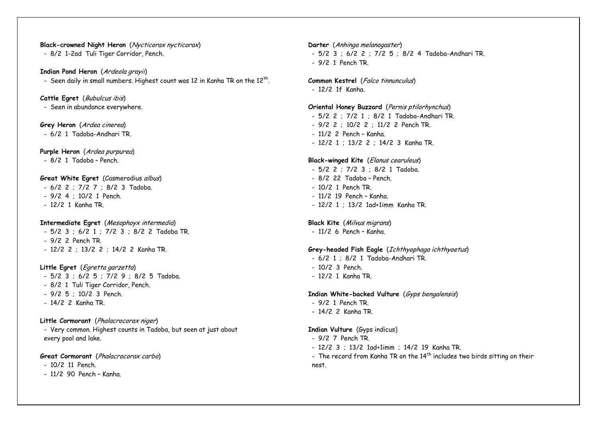### Black-crowned Night Heron (Nycticorax nycticorax) Darter (Anhinga melanogaster)

Indian Pond Heron (Ardeola grayii)

- Seen daily in small numbers. Highest count was 12 in Kanha TR on the 12<sup>th</sup>. **Common Kestrel** (*Falco tinnunculus*)

### Cattle Egret (Bubulcus ibis)

- Seen in abundance everywhere.

- 6/2 1 Tadoba-Andhari TR. - 11/2 2 Pench – Kanha.

### Purple Heron (Ardea purpurea)

# Great White Egret (Casmerodius albus) and the state of the state of the state of 8/2 22 Tadoba - Pench.

- 6/2 2 : 7/2 7 : 8/2 3 Tadoba. - 10/2 1 Pench TR.

- 
- 

### Intermediate Egret (Mesophoyx intermedia) Black Kite (Milvus migrans)

- $-5/2$  3  $\div$  6/2 1  $\div$  7/2 3  $\div$  8/2 2 Tadoba TR.  $-$  11/2 6 Pench Kanha.
- 9/2 2 Pench TR.
- 

### Little Egret (*Egretta garzetta*) - 10/2 3 Pench.

- 5/2 3 ; 6/2 5 ; 7/2 9 ; 8/2 5 Tadoba. 12/2 1 Kanha TR.
- 8/2 1 Tuli Tiger Corridor, Pench.
- 
- 

### Little Cormorant (Phalacrocorax niger)

- Very common. Highest counts in Tadoba, but seen at just about **Indian Vulture** (Gyps indicus) every pool and lake. The state of the state of the state of the state of the state of the state of the state of the state of the state of the state of the state of the state of the state of the state of the state of the st

- 10/2 11 Pench. nest.
- 11/2 90 Pench Kanha.

- 8/2 1-2ad Tuli Tiger Corridor, Pench. - 5/2 3 ; 6/2 2 ; 7/2 5 ; 8/2 4 Tadoba-Andhari TR. - 9/2 1 Pench TR.

- 12/2 1f Kanha.

### Oriental Honey Buzzard (Pernis ptilorhynchus)

- 5/2 2 ; 7/2 1 ; 8/2 1 Tadoba-Andhari TR.
- Grey Heron (Ardea cinerea) 9/2 2 ; 10/2 2 ; 11/2 2 Pench TR.
	-
	- 12/2 1 ; 13/2 2 ; 14/2 3 Kanha TR.

### - 8/2 1 Tadoba – Pench. Physics and the second service of the service of the Black-winged Kite (Elanus cearuleus)

- 5/2 2 ; 7/2 3 ; 8/2 1 Tadoba.
- 
- 
- 9/2 4 : 10/2 1 Pench.  $-$  11/2 19 Pench Kanha.
- 12/2 1 Kanha TR. 12/2 1 ; 13/2 1ad+1imm Kanha TR.

# - 12/2 2 ; 13/2 2 ; 14/2 2 Kanha TR. Sand and the servent of the serve of the Grey-headed Fish Eagle (Ichthyophaga ichthyaetus)

- 6/2 1 ; 8/2 1 Tadoba-Andhari TR.
- 
- 

### - 9/2 5 ; 10/2 3 Pench. Indian White-backed Vulture (Gyps bengalensis)

- 14/2 2 Kanha TR. 9/2 1 Pench TR.
	- 14/2 2 Kanha TR.

- 
- 12/2 3 ; 13/2 1ad+1imm ; 14/2 19 Kanha TR.
- Great Cormorant (*Phalacrocorax carbo*)  **The record from Kanha TR** on the 14<sup>th</sup> includes two birds sitting on their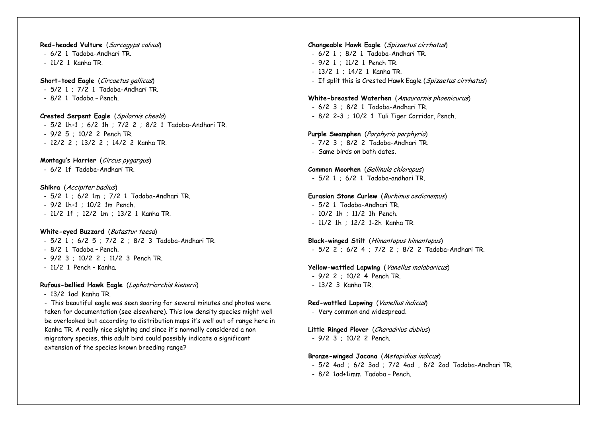- 5/2 1 ; 7/2 1 Tadoba-Andhari TR.
- 

- 5/2 1h+1 ; 6/2 1h ; 7/2 2 ; 8/2 1 Tadoba-Andhari TR.
- 
- $-12/2$  2 ; 13/2 2 ; 14/2 2 Kanha TR.

### Montagu's Harrier (Circus pygargus)

### Shikra (Accipiter badius)

- 5/2 1 ; 6/2 1m ; 7/2 1 Tadoba-Andhari TR. **Eurasian Stone Curlew** (Burhinus oedicnemus)
- 
- 11/2 1f : 12/2 1m : 13/2 1 Kanha TR. 10/2 1h : 11/2 1h Pench.

### White-eyed Buzzard (Butastur teesa)

- 5/2 1 ; 6/2 5 ; 7/2 2 ; 8/2 3 Tadoba-Andhari TR. Black-winged Stilt (Himantopus himantopus)
- 
- 9/2 3 ; 10/2 2 ; 11/2 3 Pench TR.
- 

### Rufous-bellied Hawk Eagle (Lophotriorchis kienerii) - 13/2 3 Kanha TR.

- 13/2 1ad Kanha TR.

- This beautiful eagle was seen soaring for several minutes and photos were **Red-wattled Lapwing** (*Vanellus indicus*) taken for documentation (see elsewhere). This low density species might well - Very common and widespread. be overlooked but according to distribution maps it's well out of range here in Kanha TR. A really nice sighting and since it's normally considered a non Little Ringed Plover (Charadrius dubius) migratory species, this adult bird could possibly indicate a significant - 9/2 3; 10/2 2 Pench. extension of the species known breeding range?

#### Red-headed Vulture (Sarcogyps calvus) Changeable Hawk Eagle (Spizaetus cirrhatus)

- 6/2 1 Tadoba-Andhari TR. 6/2 1 ; 8/2 1 Tadoba-Andhari TR.
- 11/2 1 Kanha TR. 9/2 1 : 11/2 1 Pench TR.
	- $-13/2$  1  $\cdot$  14/2 1 Kanha TR
- Short-toed Eagle (Circaetus gallicus) Short-toed Eagle (Spizaetus cirrhatus) Short-toed Eagle (Spizaetus cirrhatus)

### - 8/2 1 Tadoba – Pench. White-breasted Waterhen (Amaurornis phoenicurus)

- 6/2 3 ; 8/2 1 Tadoba-Andhari TR.
- Crested Serpent Eagle (Spilornis cheela) 8/2 2-3 ; 10/2 1 Tuli Tiger Corridor, Pench.

### - 9/2 5 ; 10/2 2 Pench TR. Purple Swamphen (Porphyrio porphyrio)

- 7/2 3 : 8/2 2 Tadoba-Andhari TR.
- Same birds on both dates.

### - 6/2 1f Tadoba-Andhari TR. Common Moorhen (Gallinula chloropus)

- 5/2 1 ; 6/2 1 Tadoba-andhari TR.

- 9/2 1h+1 : 10/2 1m Pench. 5/2 1 Tadoba-Andhari TR.
	-
	- 11/2 1h ; 12/2 1-2h Kanha TR.

- 8/2 1 Tadoba – Pench. 2011 - 5/2 2 ; 6/2 4 ; 7/2 2 ; 8/2 2 Tadoba-Andhari TR.

### - 11/2 1 Pench – Kanha. Yellow-wattled Lapwing (*Vanellus malabaricus*)

- 9/2 2 ; 10/2 4 Pench TR.
- 

#### Bronze-winged Jacana (Metopidius indicus)

- 5/2 4ad ; 6/2 3ad ; 7/2 4ad , 8/2 2ad Tadoba-Andhari TR.
- 8/2 1ad+1imm Tadoba Pench.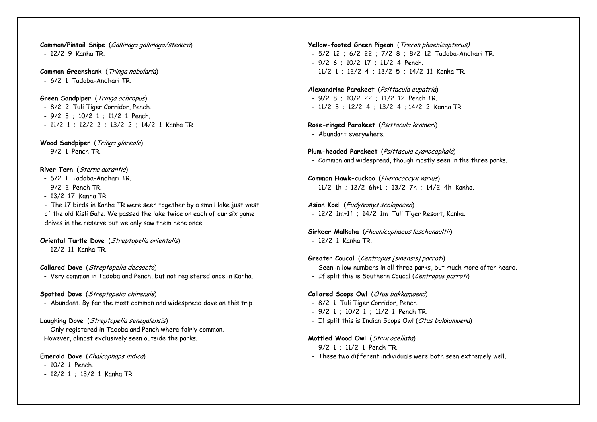- 6/2 1 Tadoba-Andhari TR.

### Green Sandpiper (Tringa ochropus)

- 
- 9/2 3 ; 10/2 1 ; 11/2 1 Pench.
- 11/2 1 ; 12/2 2 ; 13/2 2 ; 14/2 1 Kanha TR. Rose-ringed Parakeet (Psittacula krameri)

### Wood Sandpiper (Tringa glareola)

### River Tern (Sterna aurantia)

- 
- 
- 13/2 17 Kanha TR.
- The 17 birds in Kanha TR were seen together by a small lake just west **Asian Koel** (*Eudynamys scolopacea*) of the old Kisli Gate. We passed the lake twice on each of our six game - 12/2 1m+1f ; 14/2 1m Tuli Tiger Resort, Kanha. drives in the reserve but we only saw them here once.

# Oriental Turtle Dove (Streptopelia orientalis) - 12/2 1 Kanha TR.

- 12/2 11 Kanha TR.

- Very common in Tadoba and Pench, but not registered once in Kanha. - If split this is Southern Coucal (Centropus parroti)

- Abundant. By far the most common and widespread dove on this trip. - 8/2 1 Tuli Tiger Corridor, Pench.

 - Only registered in Tadoba and Pench where fairly common. However, almost exclusively seen outside the parks. Mother than the Mottled Wood Owl (Strix ocellata)

- 10/2 1 Pench.
- 12/2 1 ; 13/2 1 Kanha TR.

### Common/Pintail Snipe (Gallinago gallinago/stenura) Yellow-footed Green Pigeon (Treron phoenicopterus)

- - 12/2 9 Kanha TR. 5/2 12 ; 6/2 22 ; 7/2 8 ; 8/2 12 Tadoba-Andhari TR.
	- $-9/2$  6 : 10/2 17 : 11/2 4 Pench.
- Common Greenshank (Tringa nebularia) 11/2 1 ; 12/2 4 ; 13/2 5 ; 14/2 11 Kanha TR.

# Alexandrine Parakeet (Psittacula eupatria)

- $-9/2$  8 : 10/2 22 : 11/2 12 Pench TR.
- 8/2 2 Tuli Tiger Corridor, Pench. 11/2 3 ; 12/2 4 ; 13/2 4 ; 14/2 2 Kanha TR.

- Abundant everywhere.

# - 9/2 1 Pench TR. Plum-headed Parakeet (*Psittacula cyanocephala*) - 9/2 1 Pench TR.

- Common and widespread, though mostly seen in the three parks.

# - 6/2 1 Tadoba-Andhari TR. Common Hawk-cuckoo (Hierococcyx varius)

- 9/2 2 Pench TR. - 11/2 1h ; 12/2 6h+1 ; 13/2 7h ; 14/2 4h Kanha.

# Sirkeer Malkoha (Phaenicophaeus leschenaultii)

# Greater Coucal (Centropus [sinensis] parroti)

- Collared Dove (Streptopelia decaocto)  **Seen in low numbers in all three parks**, but much more often heard.
	-

# Spotted Dove (Streptopelia chinensis) Spotted Scops Owl (Otus bakkamoena)

- 
- 9/2 1 ; 10/2 1 ; 11/2 1 Pench TR.
- Laughing Dove (Streptopelia senegalensis) and the sense of the sense of split this is Indian Scops Owl (Otus bakkamoena)

- $-9/2$  1 : 11/2 1 Pench TR
- Emerald Dove (Chalcophaps indica)  $\blacksquare$  These two different individuals were both seen extremely well.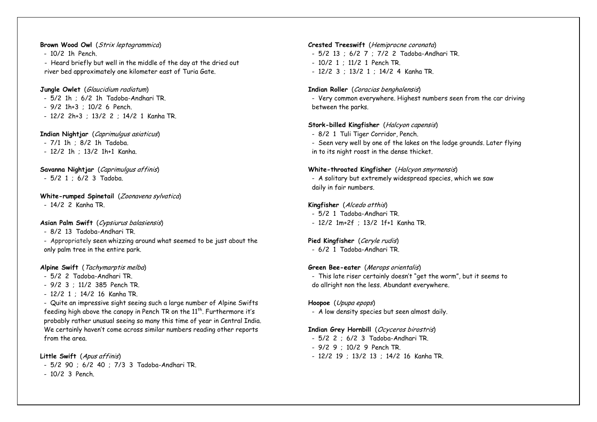- Heard briefly but well in the middle of the day at the dried out - 10/2 1 : 11/2 1 Pench TR. river bed approximately one kilometer east of Turia Gate. - 12/2 3 ; 13/2 1 ; 14/2 4 Kanha TR.

- 
- $-9/2$  1h $+3$ ; 10/2 6 Pench. between the parks.
- 12/2 2h+3 ; 13/2 2 ; 14/2 1 Kanha TR.

### Indian Nightjar (Caprimulgus asiaticus) - 8/2 1 Tuli Tiger Corridor, Pench.

# White-rumped Spinetail (Zoonavena sylvatica)

# Asian Palm Swift (Cypsiurus balasiensis) - 12/2 1m+2f ; 13/2 1f+1 Kanha TR.

- 8/2 13 Tadoba-Andhari TR.

 - Appropriately seen whizzing around what seemed to be just about theonly palm tree in the entire park.

- 
- 
- 12/2 1 ; 14/2 16 Kanha TR.

- Quite an impressive sight seeing such a large number of Alpine Swifts Hoopoe (Upupa epops) feeding high above the canopy in Pench TR on the  $11^{th}$ . Furthermore it's  $\blacksquare$  - A low density species but seen almost daily. probably rather unusual seeing so many this time of year in Central India. We certainly haven't come across similar numbers reading other reports **Indian Grey Hornbill** (Ocyceros birostris) from the area. - 5/2 2 ; 6/2 3 Tadoba-Andhari TR.

 - 5/2 90 ; 6/2 40 ; 7/3 3 Tadoba-Andhari TR. - 10/2 3 Pench.

### Brown Wood Owl (Strix leptogrammica) and the control of the Crested Treeswift (Hemiprocne coronata)

- 10/2 1h Pench. 5/2 13 ; 6/2 7 ; 7/2 2 Tadoba-Andhari TR.
	-
	-

# Jungle Owlet (Glaucidium radiatum) Indian Roller (Coracias benghalensis)

- 5/2 1h ; 6/2 1h Tadoba-Andhari TR. - Very common everywhere. Highest numbers seen from the car driving

### Stork-billed Kingfisher (Halcyon capensis)

- 
- 7/1 1h ; 8/2 1h Tadoba.  $\overline{a}$  Seen very well by one of the lakes on the lodge grounds. Later flying - 12/2 1h; 13/2 1h+1 Kanha. in to its night roost in the dense thicket.

# Savanna Nightjar (Caprimulgus affinis) White-throated Kingfisher (Halcyon smyrnensis)

- 5/2 1 ; 6/2 3 Tadoba. - Same and the same state of the same state of the same state of the same state of the same state of the same state of the same state of the same state of the same state of the same state of the sam daily in fair numbers.

# - 14/2 2 Kanha TR. Kingfisher (Alcedo atthis)

- 5/2 1 Tadoba-Andhari TR.
- 

# Pied Kingfisher (Ceryle rudis)<br>- 6/2 1 Tadoba-Andhari TR.

# Alpine Swift (Tachymarptis melba) and the Control of the Green Bee-eater (Merops orientalis)

- 5/2 2 Tadoba-Andhari TR. - This late riser certainly doesn't "get the worm", but it seems to - 9/2 3 ; 11/2 385 Pench TR. do allright non the less. Abundant everywhere.

- 
- 9/2 9 ; 10/2 9 Pench TR.
- Little Swift (Apus affinis) 12/2 19 ; 13/2 13 ; 14/2 16 Kanha TR.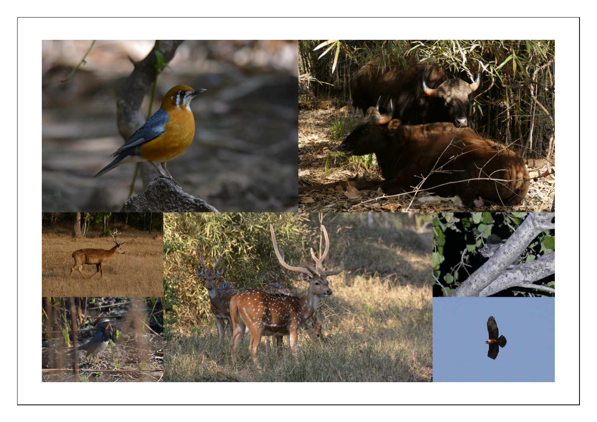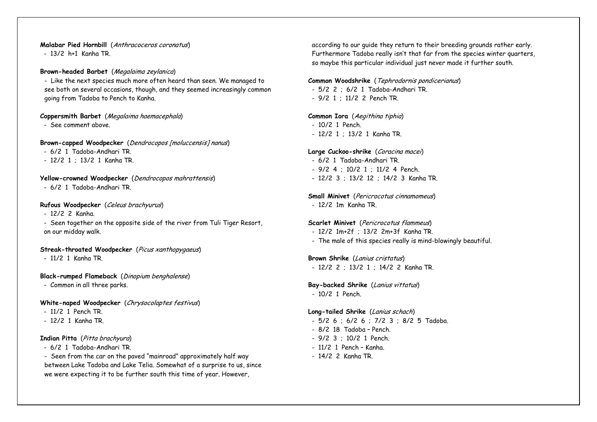### Brown-headed Barbet (Megalaima zeylanica)

- Like the next species much more often heard than seen. We managed to **Common Woodshrike** (*Tephrodornis pondicerianus*) see both on several occasions, though, and they seemed increasingly common - 5/2 2 ; 6/2 1 Tadoba-Andhari TR. going from Tadoba to Pench to Kanha.  $\overline{P}$  9/2 1 ; 11/2 2 Pench TR.

### Coppersmith Barbet (Megalaima haemacephala) Common Iora (Aegithina tiphia)

- See comment above.  $\sim$  10/2 1 Pench.

### Brown-capped Woodpecker (Dendrocopos [moluccensis] nanus)

### Yellow-crowned Woodpecker (Dendrocopos mahrattensis) - 12/2 3 ; 13/2 12 ; 14/2 3 Kanha TR.

- 6/2 1 Tadoba-Andhari TR.

### Rufous Woodpecker (Celeus brachyurus) - 12/2 1m Kanha TR.

- 12/2 2 Kanha.

- Seen together on the opposite side of the river from Tuli Tiger Resort, Scarlet Minivet (Pericrocotus flammeus) on our midday walk. - 12/2 1m+2f ; 13/2 2m+3f Kanha TR.

# Streak-throated Woodpecker (Picus xanthopygaeus)

# Black-rumped Flameback (Dinopium benghalense)

# White-naped Woodpecker (Chrysocolaptes festivus)

- 
- 

# Indian Pitta (Pitta brachyura) 5. 10/2 1 Pench.

- 6/2 1 Tadoba-Andhari TR

- Seen from the car on the paved "mainroad" approximately half way  $-$  14/2 2 Kanha TR. between Lake Tadoba and Lake Telia. Somewhat of a surprise to us, since we were expecting it to be further south this time of year. However,

Malabar Pied Hornbill (Anthracoceros coronatus) according to our guide they return to their breeding grounds rather early. - 13/2 h+1 Kanha TR. Furthermore Tadoba really isn't that far from the species winter quarters, so maybe this particular individual just never made it further south.

- 
- 

- 
- 12/2 1 ; 13/2 1 Kanha TR.

# - 6/2 1 Tadoba-Andhari TR. Large Cuckoo-shrike (Coracina macei)

- 12/2 1 · 13/2 1 Kanha TR. 6/2 1 Tadoba-Andhari TR
	- 9/2 4 ; 10/2 1 ; 11/2 4 Pench.
	-

# Small Minivet (Pericrocotus cinnamomeus)

- 
- The male of this species really is mind-blowingly beautiful.

# - 11/2 1 Kanha TR. Brown Shrike (Lanius cristatus)

- 12/2 2 ; 13/2 1 ; 14/2 2 Kanha TR.

# - Common in all three parks.  $Bay-backet$  Sharper parks in the parks of the state of the state (Lanius vittatus)

- 10/2 1 Pench.

# - 11/2 1 Pench TR. **Long-tailed Shrike** (*Lanius schach*)

- 12/2 1 Kanha TR. 5/2 6 ; 6/2 6 ; 7/2 3 ; 8/2 5 Tadoba.
	- 8/2 18 Tadoba Pench.
	-
	-
	-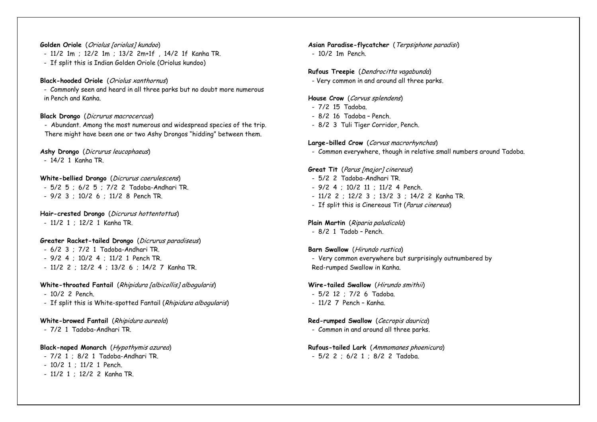- 11/2 1m ; 12/2 1m ; 13/2 2m+1f , 14/2 1f Kanha TR. 10/2 1m Pench.
- If split this is Indian Golden Oriole (Oriolus kundoo)

 - Commonly seen and heard in all three parks but no doubt more numerous in Pench and Kanha. House Crow (Corvus splendens)

### Black Drongo (Dicrurus macrocercus) - 8/2 16 Tadoba – Pench.

- Abundant. Among the most numerous and widespread species of the trip. There might have been one or two Ashy Drongos "hidding" between them.

- 14/2 1 Kanha TR.

### White-bellied Drongo (*Dicrurus caerulescens*) - 5/2 2 Tadoba-Andhari TR.

- 5/2 5 ; 6/2 5 ; 7/2 2 Tadoba-Andhari TR. - 9/2 4 ; 10/2 11 ; 11/2 4 Pench.

# Hair-crested Drongo (Dicrurus hottentottus)

### Greater Racket-tailed Drongo (Dicrurus paradiseus)

- 6/2 3 ; 7/2 1 Tadoba-Andhari TR. Barn Swallow (*Hirundo rustica*)
- 
- 11/2 2 ; 12/2 4 ; 13/2 6 ; 14/2 7 Kanha TR. Red-rumped Swallow in Kanha.

# White-throated Fantail (Rhipidura [albicollis] albogularis) Wire-tailed Swallow (Hirundo smithii)

- 
- If split this is White-spotted Fantail (*Rhipidura albogularis*) 11/2 7 Pench Kanha.

### White-browed Fantail (Rhipidura aureola) and the state of the state of the Red-rumped Swallow (Cecropis daurica)

- 7/2 1 ; 8/2 1 Tadoba-Andhari TR. 5/2 2 ; 6/2 1 ; 8/2 2 Tadoba.
- 10/2 1 ; 11/2 1 Pench.
- 11/2 1 ; 12/2 2 Kanha TR.

### Golden Oriole (Oriolus [oriolus] kundoo) and the second term of the second asian Paradise-flycatcher (Terpsiphone paradisi)

#### Rufous Treepie (Dendrocitta vagabunda)

Black-hooded Oriole (Oriolus xanthornus) - Very common in and around all three parks.

- 7/2 15 Tadoba.
- 
- 8/2 3 Tuli Tiger Corridor, Pench.

#### Large-billed Crow (Corvus macrorhynchos)

Ashy Drongo (Dicrurus leucophaeus) - Common everywhere, though in relative small numbers around Tadoba.

### Great Tit (Parus [major] cinereus)

- 
- 
- 9/2 3 : 10/2 6 : 11/2 8 Pench TR. 11/2 2 : 12/2 3 : 13/2 3 : 14/2 2 Kanha TR.
	- If split this is Cinereous Tit (Parus cinereus)

### - 11/2 1 ; 12/2 1 Kanha TR. Plain Martin (Riparia paludicola)

- 8/2 1 Tadob – Pench.

- 9/2 4 ; 10/2 4 ; 11/2 1 Pench TR.

- 10/2 2 Pench. 5/2 12 : 7/2 6 Tadoba.
	-

- 7/2 1 Tadoba-Andhari TR. 2007 - Common in and around all three parks.

### Black-naped Monarch (Hypothymis azurea) Rufous-tailed Lark (Ammomanes phoenicura)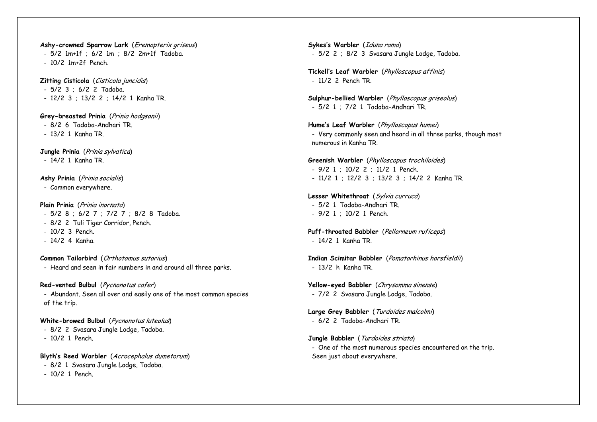Ashy-crowned Sparrow Lark (Eremopterix griseus)- 5/2 1m+1f ; 6/2 1m ; 8/2 2m+1f Tadoba. - - - - - - - - - - - - - - - - 5/2 2 ; 8/2 3 Svasara Jungle Lodge, Tadoba. - 10/2 1m+2f Pench.

Zitting Cisticola (Cisticola juncidis) and the state of the state of the 11/2 2 Pench TR.  $-5/2$  3 : 6/2 2 Tadoba  $-12/2$  3 : 13/2 2 : 14/2 1 Kanha TR.

Grey-breasted Prinia (Prinia hodgsonii)

Jungle Prinia (Prinia sylvatica)

### Ashy Prinia (*Prinia socialis*) **Ashy Prinia** (*Prinia socialis*) **- 11/2 1**  $\leq$  **12/2 3**  $\leq$  **13/2 3**  $\leq$  **14/2 2 Kanha TR.**

- Common everywhere.

### Plain Prinia (Prinia inornata) 2008 - 5/2 1 Tadoba-Andhari TR.

- 5/2 8 ; 6/2 7 ; 7/2 7 ; 8/2 8 Tadoba. 9/2 1 ; 10/2 1 Pench.
- 8/2 2 Tuli Tiger Corridor, Pench.
- 
- 

- Heard and seen in fair numbers in and around all three parks. The state of the 13/2 h Kanha TR.

- Abundant. Seen all over and easily one of the most common species - 7/2 2 Svasara Jungle Lodge, Tadoba. of the trip.

### White-browed Bulbul (Pycnonotus luteolus)  $\blacksquare$  1999 - 6/2 2 Tadoba-Andhari TR.

- 8/2 2 Svasara Jungle Lodge, Tadoba.

### Blyth's Reed Warbler (Acrocephalus dumetorum) Seen just about everywhere.

- 8/2 1 Svasara Jungle Lodge, Tadoba.

- 10/2 1 Pench.

Sykes's Warbler (Iduna rama)

Tickell's Leaf Warbler (Phylloscopus affinis)

Sulphur-bellied Warbler (Phylloscopus griseolus)  $-5/2$  1  $\cdot$  7/2 1 Tadoba-Andhari TR

- 8/2 6 Tadoba-Andhari TR. **Hume's Leaf Warbler** (*Phylloscopus humei*)

 - 13/2 1 Kanha TR. - Very commonly seen and heard in all three parks, though most numerous in Kanha TR.

- 14/2 1 Kanha TR. Greenish Warbler (Phylloscopus trochiloides)

- 9/2 1 ; 10/2 2 ; 11/2 1 Pench.

#### Lesser Whitethroat (Sylvia curruca)

- 10/2 3 Pench. Puff-throated Babbler (Pellorneum ruficeps) - 14/2 4 Kanha. - 15 Ani 16 Ani 17 Ani 18 Ani 19 Ani 19 Ani 19 Ani 10 Ani 110.

Common Tailorbird (Orthotomus sutorius) Indian Scimitar Babbler (Pomatorhinus horsfieldii)

Red-vented Bulbul (Pycnonotus cafer) Yellow-eyed Babbler (Chrysomma sinense)

Large Grey Babbler (Turdoides malcolmi)

- 10/2 1 Pench. Jungle Babbler (Turdoides striata)

- One of the most numerous species encountered on the trip.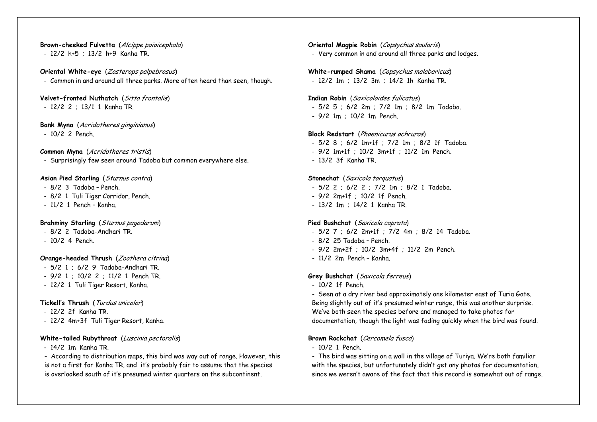- Common in and around all three parks. More often heard than seen, though. - 12/2 1m; 13/2 3m; 14/2 1h Kanha TR.

### Velvet-fronted Nuthatch (Sitta frontalis) Indian Robin (Saxicoloides fulicatus)

### Bank Myna (Acridotheres ginginianus)

- Surprisingly few seen around Tadoba but common everywhere else. - 13/2 3f Kanha TR.

### Asian Pied Starling (Sturnus contra) Stonechat (Saxicola torquatus) Stonechat (Saxicola torquatus)

- 
- 8/2 1 Tuli Tiger Corridor, Pench. 9/2 2m+1f : 10/2 1f Pench.
- 

### Brahminy Starling (Sturnus pagodarum) and the state of the Pied Bushchat (Saxicola caprata)

- 
- 

# Orange-headed Thrush (Zoothera citrina) - 11/2 2m Pench - Kanha.

- 5/2 1 ; 6/2 9 Tadoba-Andhari TR.
- 9/2 1 ; 10/2 2 ; 11/2 1 Pench TR. Grey Bushchat (Saxicola ferreus)
- 12/2 1 Tuli Tiger Resort, Kanha. 10/2 1f Pench.

- 
- 

# White-tailed Rubythroat (Luscinia pectoralis) Brown Rockchat (Cercomela fusca)

- 14/2 1m Kanha TR

 is not a first for Kanha TR, and it's probably fair to assume that the species with the species, but unfortunately didn't get any photos for documentation, is overlooked south of it's presumed winter quarters on the subcontinent. since we weren't aware of the fact that this record is somewhat out of range.

# Brown-cheeked Fulvetta (Alcippe poioicephala) Chiental Magpie Robin (Copsychus saularis)

- 12/2 h+5; 13/2 h+9 Kanha TR. - Very common in and around all three parks and lodges.

# Oriental White-eye (Zosterops palpebrosus) White-rumped Shama (Copsychus malabaricus)

- 12/2 2 ; 13/1 1 Kanha TR. 5/2 5 ; 6/2 2m ; 7/2 1m ; 8/2 1m Tadoba.
	- 9/2 1m ; 10/2 1m Pench.

### - 10/2 2 Pench. Black Redstart (Phoenicurus ochruros)

- 5/2 8 ; 6/2 1m+1f ; 7/2 1m ; 8/2 1f Tadoba.
- **Common Myna** (Acridotheres tristis)  $-9/2$  1m+1f; 10/2 3m+1f; 11/2 1m Pench.
	-

- 8/2 3 Tadoba Pench. 5/2 2 ; 6/2 2 ; 7/2 1m ; 8/2 1 Tadoba.
	-
- 11/2 1 Pench Kanha. 13/2 1m ; 14/2 1 Kanha TR.

- 8/2 2 Tadoba-Andhari TR. 5/2 7 ; 6/2 2m+1f ; 7/2 4m ; 8/2 14 Tadoba.
- 10/2 4 Pench. 8/2 25 Tadoba Pench. 8/2 25 Tadoba Pench.
	- 9/2 2m+2f ; 10/2 3m+4f ; 11/2 2m Pench.
	-

 - Seen at a dry river bed approximately one kilometer east of Turia Gate. Ti<mark>ckell's Thrush</mark> (*Turdus unicolor*) **Being slightly out of it's presumed winter range, this was another surprise.**  - 12/2 2f Kanha TR. We've both seen the species before and managed to take photos for - 12/2 4m+3f Tuli Tiger Resort, Kanha. documentation, though the light was fading quickly when the bird was found.

- According to distribution maps, this bird was way out of range. However, this - The bird was sitting on a wall in the village of Turiya. We're both familiar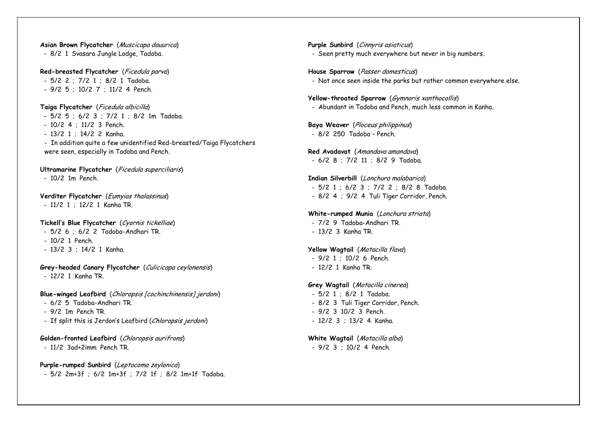# Asian Brown Flycatcher (Muscicapa dauurica) Purple Sunbird (Cinnyris asiaticus)

### Red-breasted Flycatcher (*Ficedula parva*) entitled the state of the House Sparrow (*Passer domesticus*)

- 
- $-9/2$  5 : 10/2 7 : 11/2 4 Pench.

- 5/2 5 ; 6/2 3 ; 7/2 1 ; 8/2 1m Tadoba.
- 
- 
- In addition quite a few unidentified Red-breasted/Taiga Flycatchers were seen, especially in Tadoba and Pench. The Red Avadavat (Amandava amandava)

### Ultramarine Flycatcher (Ficedula superciliaris)

- 11/2 1 ; 12/2 1 Kanha TR.

#### Tickell's Blue Flycatcher (Cyornis tickelliae) - 7/2 9 Tadoba-Andhari TR.

- 5/2 6 : 6/2 2 Tadoba-Andhari TR. 13/2 3 Kanha TR.
- 10/2 1 Pench.
- 

### Grey-headed Canary Flycatcher (Culicicapa ceylonensis) - 12/2 1 Kanha TR.

- 12/2 1 Kanha TR.

# Blue-winged Leafbird (Chloropsis [cochinchinensis] jerdoni) - 5/2 1 ; 8/2 1 Tadoba.

- 
- 
- If split this is Jerdon's Leafbird (Chloropsis jerdoni) 12/2 3 ; 13/2 4 Kanha.

### Golden-fronted Leafbird (Chloropsis aurifrons) White Wagtail (Motacilla alba)

- 11/2 3ad+2imm Pench TR

### Purple-rumped Sunbird (Leptocoma zeylonica) - 5/2 2m+3f ; 6/2 1m+3f ; 7/2 1f ; 8/2 1m+1f Tadoba.

- 8/2 1 Svasara Jungle Lodge, Tadoba. - Seen pretty much everywhere but never in big numbers.

- 5/2 2 ; 7/2 1 ; 8/2 1 Tadoba.  $\overline{ }$  - Not once seen inside the parks but rather common everywhere else.

# Yellow-throated Sparrow (Gymnoris xanthocollis)

Tai<mark>ga Flycatcher</mark> (*Ficedula albicilla*) - Abundant in Tadoba and Pench, much less common in Kanha.

### - 10/2 4 : 11/2 3 Pench.

- 13/2 1 ; 14/2 2 Kanha. - 8/2 250 Tadoba – Pench.

- 6/2 8 ; 7/2 11 ; 8/2 9 Tadoba.

### - 10/2 1m Pench. Indian Silverbill (Lonchura malabarica)

- 5/2 1 ; 6/2 3 ; 7/2 2 ; 8/2 8 Tadoba.

Verditer Flycatcher (Eumyias thalassinus) - 8/2 4 ; 9/2 4 Tuli Tiger Corridor, Pench.

### White-rumped Munia (Lonchura striata)

- 
- 

# - 13/2 3 ; 14/2 1 Kanha. Xanha and Yellow Wagtail (*Motacilla flava*) version of the Vellow Wagtail (*Motacilla flava*)

- 9/2 1 ; 10/2 6 Pench.
- 

### Grey Wagtail (Motacilla cinerea)

- 
- 6/2 5 Tadoba-Andhari TR. 8/2 3 Tuli Tiger Corridor, Pench.
- 9/2 1m Pench TR.  $-$  9/2 3 10/2 3 Pench.
	-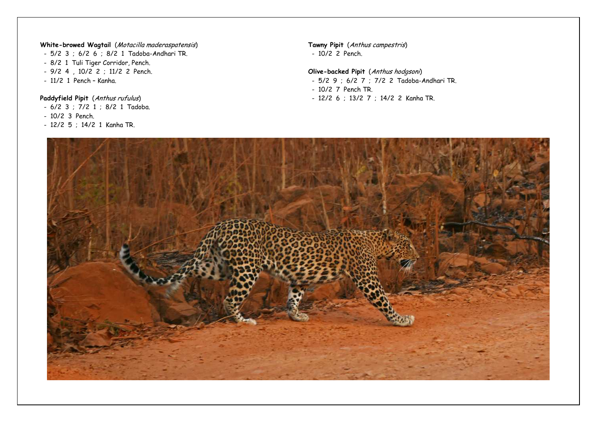# White-browed Wagtail (*Motacilla maderaspatensis*)<br>
- 5/2 3 ; 6/2 6 ; 8/2 1 Tadoba-Andhari TR.<br>
- 10/2 2 Pench.

- $-5/2$  3 ;  $6/2$  6 ;  $8/2$  1 Tadoba-Andhari TR.
- 8/2 1 Tuli Tiger Corridor, Pench.
- 9/2 4 , 10/2 2 ; 11/2 2 Pench.
- 

- 6/2 3 ; 7/2 1 ; 8/2 1 Tadoba.
- 10/2 3 Pench.
- 12/2 5 ; 14/2 1 Kanha TR.

# Olive-backed Pipit (Anthus hodgsoni)

- 11/2 1 Pench Kanha. 2007 5/2 9 ; 6/2 7 ; 7/2 2 Tadoba-Andhari TR.
	- 10/2 7 Pench TR.
- Paddyfield Pipit (Anthus rufulus) 12/2 6 ; 13/2 7 ; 14/2 2 Kanha TR.

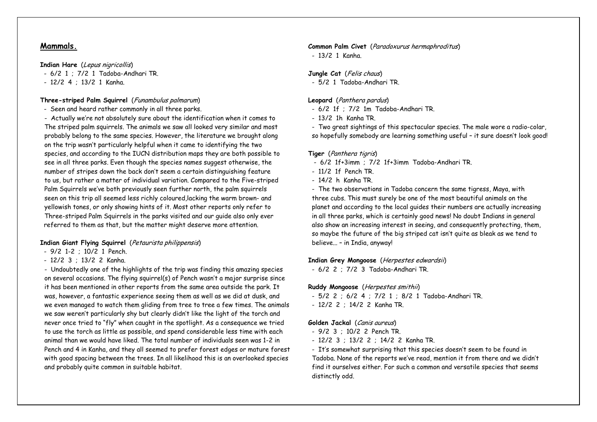# Mammals.

#### Indian Hare (Lepus nigricollis)

- 6/2 1 ; 7/2 1 Tadoba-Andhari TR. Jungle Cat (Felis chaus)
- $12/2 4 : 13/2 1$  Kanha

### Three-striped Palm Squirrel (Funambulus palmarum) and the comparabolic comparation of the comparation of the temperature of the comparation of the comparation of the comparation of the comparation of the comparation of the

- Seen and heard rather commonly in all three parks.  $\overline{a}$  = 6/2 1f ; 7/2 1m Tadoba-Andhari TR.

- Actually we're not absolutely sure about the identification when it comes to - 13/2 1h Kanha TR. The striped palm squirrels. The animals we saw all looked very similar and most - Two great sightings of this spectacular species. The male wore a radio-colar, probably belong to the same species. However, the literature we brought along sone hopefully somebody are learning something useful – it sure doesn't look good! on the trip wasn't particularly helpful when it came to identifying the two species, and according to the IUCN distribution maps they are both possible to Tiger (Panthera tigris) see in all three parks. Even though the species names suggest otherwise, the number of stripes down the back don't seem a certain distinguishing feature - 11/2 1f Pench TR. to us, but rather a matter of individual variation. Compared to the Five-striped - 14/2 h Kanha TR. Palm Squirrels we've both previously seen further north, the palm squirrels seen on this trip all seemed less richly coloured, lacking the warm brown- and yellowish tones, or only showing hints of it. Most other reports only refer to planet and according to the local guides their numbers are actually increasing Three-striped Palm Squirrels in the parks visited and our guide also only ever in all three parks, which is certainly good news! No doubt Indians in general referred to them as that, but the matter might deserve more attention. The same also show an increasing interest in seeing, and consequently protecting, them,

### Indian Giant Flying Squirrel (*Petaurista philippensis*) believe... – in India, anyway!

- 9/2 1-2 ; 10/2 1 Pench.
- 

- Undoubtedly one of the highlights of the trip was finding this amazing species - 6/2 2 ; 7/2 3 Tadoba-Andhari TR. on several occasions. The flying squirrel(s) of Pench wasn't a major surprise since it has been mentioned in other reports from the same area outside the park. It Ruddy Mongoose (Herpestes smithii) was, however, a fantastic experience seeing them as well as we did at dusk, and - 5/2 2; 6/2 4; 7/2 1; 8/2 1 Tadoba-Andhari TR. we even managed to watch them gliding from tree to tree a few times. The animals  $-12/2$  2; 14/2 2 Kanha TR. we saw weren't particularly shy but clearly didn't like the light of the torch and never once tried to "fly" when caught in the spotlight. As a consequence we tried **Golden Jackal** (*Canis aureus*) to use the torch as little as possible, and spend considerable less time with each - 9/2 3 ; 10/2 2 Pench TR. animal than we would have liked. The total number of individuals seen was 1-2 in -  $12/2 \cdot 3$ ;  $13/2 \cdot 2$ ;  $14/2 \cdot 2$  Kanha TR. Pench and 4 in Kanha, and they all seemed to prefer forest edges or mature forest - It's somewhat surprising that this species doesn't seem to be found in with good spacing between the trees. In all likelihood this is an overlooked species and probably quite common in suitable habitat. find it ourselves either. For such a common and versatile species that seems

#### Common Palm Civet (Paradoxurus hermaphroditus)

- 13/2 1 Kanha.

- 5/2 1 Tadoba-Andhari TR

- 
- 
- 

- 6/2 1f+3imm: 7/2 1f+3imm Tadoba-Andhari TR.
- 
- 

- The two observations in Tadoba concern the same tigress, Maya, with three cubs. This must surely be one of the most beautiful animals on the so maybe the future of the big striped cat isn't quite as bleak as we tend to

#### - 12/2 3 ; 13/2 2 Kanha. Indian Grey Mongoose (*Herpestes edwardsii*)

- 
- 

Tadoba. None of the reports we've read, mention it from there and we didn't distinctly odd.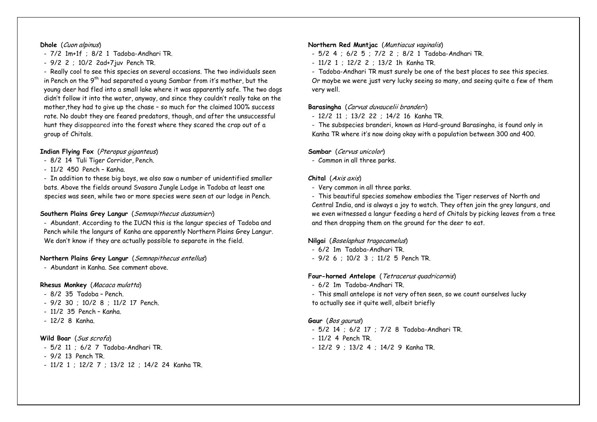- 
- 

- Really cool to see this species on several occasions. The two individuals seen - Tadoba-Andhari TR must surely be one of the best places to see this species. young deer had fled into a small lake where it was apparently safe. The two dogs very well. didn't follow it into the water, anyway, and since they couldn't really take on the mother, they had to give up the chase - so much for the claimed 100% success Barasingha (Carvus duvaucelii branderi) rate. No doubt they are feared predators, though, and after the unsuccessful - 12/2 11 ; 13/2 22 ; 14/2 16 Kanha TR. hunt they disappeared into the forest where they scared the crap out of a - The subspecies branderi, known as Hard-ground Barasingha, is found only in group of Chitals. Kanha TR where it's now doing okay with a population between 300 and 400.

# **Indian Flying Fox** (Pteropus giganteus) Sambar (Cervus unicolor) Sambar (Servus unicolor)

- 8/2 14 Tuli Tiger Corridor, Pench. Common in all three parks.
- 11/2 450 Pench Kanha.

- In addition to these big boys, we also saw a number of unidentified smaller **Chital** (Axis axis) bats. Above the fields around Svasara Jungle Lodge in Tadoba at least one - Very common in all three parks. species was seen, while two or more species were seen at our lodge in Pench. This beautiful species somehow embodies the Tiger reserves of North and

- Abundant. According to the IUCN this is the langur species of Tadoba and and then dropping them on the ground for the deer to eat. Pench while the langurs of Kanha are apparently Northern Plains Grey Langur. We don't know if they are actually possible to separate in the field. Nilgai (Boselaphus tragocamelus)

# Northern Plains Grey Langur (Semnopithecus entellus) - 9/2 6 ; 10/2 3 ; 11/2 5 Pench TR.

- Abundant in Kanha. See comment above.

# Rhesus Monkey (Macaca mulatta) and the state of the state of the state of the SAC 1m Tadoba-Andhari TR.

- 
- 
- 11/2 35 Pench Kanha.
- 

# Wild Boar (Sus scrofa) - 11/2 4 Pench TR.

- 
- 9/2 13 Pench TR.
- 11/2 1 ; 12/2 7 ; 13/2 12 ; 14/2 24 Kanha TR.

### Dhole (Cuon alpinus) Northern Red Muntjac (Muntiacus vaginalis)

- 7/2 1m+1f ; 8/2 1 Tadoba-Andhari TR. 5/2 4 ; 6/2 5 ; 7/2 2 ; 8/2 1 Tadoba-Andhari TR.
- 9/2 2 : 10/2 2ad+7juv Pench TR. 11/2 1 : 11/2 1 : 12/2 2 : 13/2 1h Kanha TR.

in Pench on the 9<sup>th</sup> had separated a young Sambar from it's mother, but the Or maybe we were just very lucky seeing so many, and seeing quite a few of them

- 
- Central India, and is always a joy to watch. They often join the grey langurs, and Southern Plains Grey Langur (Semnopithecus dussumieri) we even witnessed a langur feeding a herd of Chitals by picking leaves from a tree

- 6/2 1m Tadoba-Andhari TR.
- 

# Four-horned Antelope (Tetracerus quadricornis)

- 
- 8/2 35 Tadoba Pench. This small antelope is not very often seen, so we count ourselves lucky - 9/2 30 ; 10/2 8 ; 11/2 17 Pench. to actually see it quite well, albeit briefly

# - 12/2 8 Kanha. Gaur (Bos gaurus) - 12/2 8 Kanha.

- 5/2 14 ; 6/2 17 ; 7/2 8 Tadoba-Andhari TR.
- 
- 5/2 11 ; 6/2 7 Tadoba-Andhari TR. 12/2 9 ; 13/2 4 ; 14/2 9 Kanha TR.